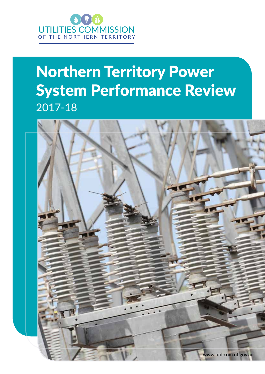

# Northern Territory Power System Performance Review 2017‑18

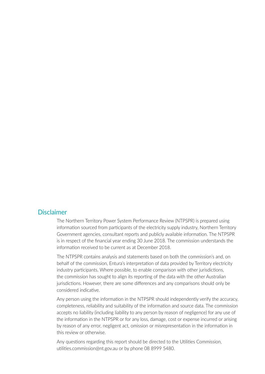#### **Disclaimer**

The Northern Territory Power System Performance Review (NTPSPR) is prepared using information sourced from participants of the electricity supply industry, Northern Territory Government agencies, consultant reports and publicly available information. The NTPSPR is in respect of the financial year ending 30 June 2018. The commission understands the information received to be current as at December 2018.

The NTPSPR contains analysis and statements based on both the commission's and, on behalf of the commission, Entura's interpretation of data provided by Territory electricity industry participants. Where possible, to enable comparison with other jurisdictions, the commission has sought to align its reporting of the data with the other Australian jurisdictions. However, there are some differences and any comparisons should only be considered indicative.

Any person using the information in the NTPSPR should independently verify the accuracy, completeness, reliability and suitability of the information and source data. The commission accepts no liability (including liability to any person by reason of negligence) for any use of the information in the NTPSPR or for any loss, damage, cost or expense incurred or arising by reason of any error, negligent act, omission or misrepresentation in the information in this review or otherwise.

Any questions regarding this report should be directed to the Utilities Commission, utilities.commission@nt.gov.au or by phone 08 8999 5480.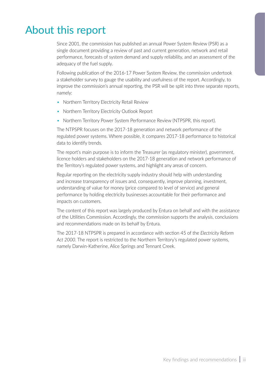# <span id="page-2-0"></span>About this report

Since 2001, the commission has published an annual Power System Review (PSR) as a single document providing a review of past and current generation, network and retail performance, forecasts of system demand and supply reliability, and an assessment of the adequacy of the fuel supply.

Following publication of the 2016-17 Power System Review, the commission undertook a stakeholder survey to gauge the usability and usefulness of the report. Accordingly, to improve the commission's annual reporting, the PSR will be split into three separate reports, namely:

- Northern Territory Electricity Retail Review
- Northern Territory Electricity Outlook Report
- Northern Territory Power System Performance Review (NTPSPR, this report).

The NTPSPR focuses on the 2017-18 generation and network performance of the regulated power systems. Where possible, it compares 2017-18 performance to historical data to identify trends.

The report's main purpose is to inform the Treasurer (as regulatory minister), government, licence holders and stakeholders on the 2017-18 generation and network performance of the Territory's regulated power systems, and highlight any areas of concern.

Regular reporting on the electricity supply industry should help with understanding and increase transparency of issues and, consequently, improve planning, investment, understanding of value for money (price compared to level of service) and general performance by holding electricity businesses accountable for their performance and impacts on customers.

The content of this report was largely produced by Entura on behalf and with the assistance of the Utilities Commission. Accordingly, the commission supports the analysis, conclusions and recommendations made on its behalf by Entura.

The 2017-18 NTPSPR is prepared in accordance with section 45 of the *Electricity Reform Act 2000*. The report is restricted to the Northern Territory's regulated power systems, namely Darwin-Katherine, Alice Springs and Tennant Creek.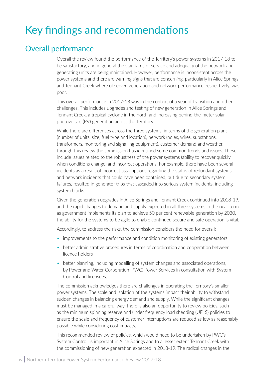# <span id="page-3-0"></span>Key findings and recommendations

# Overall performance

Overall the review found the performance of the Territory's power systems in 2017-18 to be satisfactory, and in general the standards of service and adequacy of the network and generating units are being maintained. However, performance is inconsistent across the power systems and there are warning signs that are concerning, particularly in Alice Springs and Tennant Creek where observed generation and network performance, respectively, was poor.

This overall performance in 2017-18 was in the context of a year of transition and other challenges. This includes upgrades and testing of new generation in Alice Springs and Tennant Creek, a tropical cyclone in the north and increasing behind-the-meter solar photovoltaic (PV) generation across the Territory.

While there are differences across the three systems, in terms of the generation plant (number of units, size, fuel type and location), network (poles, wires, substations, transformers, monitoring and signalling equipment), customer demand and weather, through this review the commission has identified some common trends and issues. These include issues related to the robustness of the power systems (ability to recover quickly when conditions change) and incorrect operations. For example, there have been several incidents as a result of incorrect assumptions regarding the status of redundant systems and network incidents that could have been contained, but due to secondary system failures, resulted in generator trips that cascaded into serious system incidents, including system blacks.

Given the generation upgrades in Alice Springs and Tennant Creek continued into 2018-19, and the rapid changes to demand and supply expected in all three systems in the near term as government implements its plan to achieve 50 per cent renewable generation by 2030, the ability for the systems to be agile to enable continued secure and safe operation is vital.

Accordingly, to address the risks, the commission considers the need for overall:

- improvements to the performance and condition monitoring of existing generators
- better administrative procedures in terms of coordination and cooperation between licence holders
- better planning, including modelling of system changes and associated operations, by Power and Water Corporation (PWC) Power Services in consultation with System Control and licensees.

The commission acknowledges there are challenges in operating the Territory's smaller power systems. The scale and isolation of the systems impact their ability to withstand sudden changes in balancing energy demand and supply. While the significant changes must be managed in a careful way, there is also an opportunity to review policies, such as the minimum spinning reserve and under frequency load shedding (UFLS) policies to ensure the scale and frequency of customer interruptions are reduced as low as reasonably possible while considering cost impacts.

This recommended review of policies, which would need to be undertaken by PWC's System Control, is important in Alice Springs and to a lesser extent Tennant Creek with the commissioning of new generation expected in 2018-19. The radical changes in the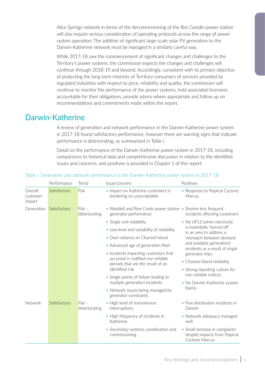<span id="page-4-0"></span>Alice Springs network in terms of the decommissioning of the Ron Goodin power station will also require serious consideration of operating protocols across the range of power system operation. The addition of significant large-scale solar PV generation to the Darwin-Katherine network must be managed in a similarly careful way.

While 2017-18 saw the commencement of significant changes and challenges to the Territory's power systems, the commission expects the changes and challenges will continue through 2018-19 and beyond. Accordingly, consistent with its primary objective of protecting the long-term interests of Territory consumers of services provided by regulated industries with respect to price, reliability and quality, the commission will continue to monitor the performance of the power systems, hold associated licensees accountable for their obligations, provide advice where appropriate and follow up on recommendations and commitments made within this report.

# Darwin-Katherine

A review of generation and network performance in the Darwin-Katherine power system in 2017-18 found satisfactory performance, however there are warning signs that indicate performance is deteriorating, as summarised in Table i.

Detail on the performance of the Darwin-Katherine power system in 2017-18, including comparisons to historical data and comprehensive discussion in relation to the identified issues and concerns, and positives is provided in Chapter 1 of this report.

|                               | Performance  | Trend                     | Issue/concern                                                                           | Positives                                                                         |  |
|-------------------------------|--------------|---------------------------|-----------------------------------------------------------------------------------------|-----------------------------------------------------------------------------------|--|
| Overall<br>customer<br>impact | Satisfactory | Flat                      | • Impact on Katherine customers is<br>bordering on unacceptable                         | • Response to Tropical Cyclone<br>Marcus                                          |  |
| Generation                    | Satisfactory | $Flat -$<br>deteriorating | • Weddell and Pine Creek power station • Shorter less frequent<br>generator performance | incidents affecting customers                                                     |  |
|                               |              |                           | • Single unit reliability                                                               | • No UFLS (when electricity                                                       |  |
|                               |              |                           | • Low level and variability of reliability                                              | is essentially 'turned off'<br>in an area to address a                            |  |
|                               |              |                           | • Over-reliance on Channel Island                                                       | mismatch between demand                                                           |  |
|                               |              |                           | • Advanced age of generation fleet                                                      | and available generation)<br>incidents as a result of single                      |  |
|                               |              |                           | • Incidents impacting customers that                                                    | generator trips                                                                   |  |
|                               |              |                           | occurred in notified non-reliable<br>periods that are the result of an                  | • Channel Island reliability                                                      |  |
|                               |              |                           | identified risk                                                                         | • Strong reporting culture for                                                    |  |
|                               |              |                           | • Single points of failure leading to                                                   | non-reliable notices                                                              |  |
|                               |              |                           | multiple generation incidents                                                           | • No Darwin-Katherine system                                                      |  |
|                               |              |                           | • Network issues being managed by<br>generator constraints                              | blacks                                                                            |  |
| <b>Network</b>                | Satisfactory | $Flat -$<br>deteriorating | • High level of transmission<br>interruptions                                           | • Few distribution incidents in<br>Darwin                                         |  |
|                               |              |                           | • High frequency of incidents in<br>Katherine                                           | • Network adequacy managed<br>well                                                |  |
|                               |              |                           | • Secondary systems coordination and<br>commissioning                                   | • Small increase in complaints<br>despite impacts from Tropical<br>Cyclone Marcus |  |

#### Table i: Generation and network performance in the Darwin-Katherine power system in 2017-18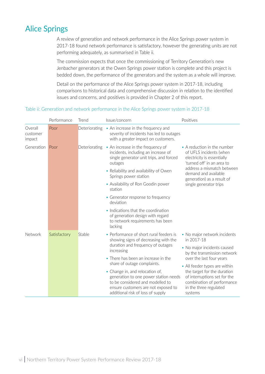# <span id="page-5-0"></span>Alice Springs

A review of generation and network performance in the Alice Springs power system in 2017-18 found network performance is satisfactory, however the generating units are not performing adequately, as summarised in Table ii.

The commission expects that once the commissioning of Territory Generation's new Jenbacher generators at the Owen Springs power station is complete and this project is bedded down, the performance of the generators and the system as a whole will improve.

Detail on the performance of the Alice Springs power system in 2017-18, including comparisons to historical data and comprehensive discussion in relation to the identified issues and concerns, and positives is provided in Chapter 2 of this report.

#### Table ii: Generation and network performance in the Alice Springs power system in 2017-18

|                               | Performance  | Trend         | Issue/concern                                                                                                                                                                                                           | Positives                                                                                                                                                       |
|-------------------------------|--------------|---------------|-------------------------------------------------------------------------------------------------------------------------------------------------------------------------------------------------------------------------|-----------------------------------------------------------------------------------------------------------------------------------------------------------------|
| Overall<br>customer<br>impact | Poor         | Deteriorating | • An increase in the frequency and<br>severity of incidents has led to outages<br>with a greater impact on customers.                                                                                                   |                                                                                                                                                                 |
| Generation                    | Poor         | Deteriorating | • An increase in the frequency of<br>incidents, including an increase of<br>single generator unit trips, and forced<br>outages                                                                                          | • A reduction in the number<br>of UFLS incidents (when<br>electricity is essentially<br>'turned off' in an area to                                              |
|                               |              |               | • Reliability and availability of Owen<br>Springs power station                                                                                                                                                         | address a mismatch between<br>demand and available<br>generation) as a result of                                                                                |
|                               |              |               | • Availability of Ron Goodin power<br>station                                                                                                                                                                           | single generator trips                                                                                                                                          |
|                               |              |               | • Generator response to frequency<br>deviation                                                                                                                                                                          |                                                                                                                                                                 |
|                               |              |               | • Indications that the coordination<br>of generation design with regard<br>to network requirements has been<br>lacking                                                                                                  |                                                                                                                                                                 |
| Network                       | Satisfactory | Stable        | • Performance of short rural feeders is<br>showing signs of decreasing with the                                                                                                                                         | • No major network incidents<br>in 2017-18                                                                                                                      |
|                               |              |               | duration and frequency of outages<br>increasing                                                                                                                                                                         | • No major incidents caused<br>by the transmission network                                                                                                      |
|                               |              |               | • There has been an increase in the                                                                                                                                                                                     | over the last four years                                                                                                                                        |
|                               |              |               | share of outage complaints.<br>• Change in, and relocation of,<br>generation to one power station needs<br>to be considered and modelled to<br>ensure customers are not exposed to<br>additional risk of loss of supply | • All feeder types are within<br>the target for the duration<br>of interruptions set for the<br>combination of performance<br>in the three regulated<br>systems |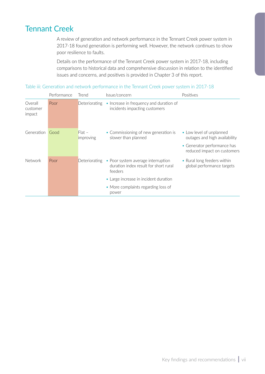# <span id="page-6-0"></span>Tennant Creek

A review of generation and network performance in the Tennant Creek power system in 2017-18 found generation is performing well. However, the network continues to show poor resilience to faults.

Details on the performance of the Tennant Creek power system in 2017-18, including comparisons to historical data and comprehensive discussion in relation to the identified issues and concerns, and positives is provided in Chapter 3 of this report.

Table iii: Generation and network performance in the Tennant Creek power system in 2017-18

|                               | Performance | Trend                 | Issue/concern                                                                          | Positives                                                                                                               |
|-------------------------------|-------------|-----------------------|----------------------------------------------------------------------------------------|-------------------------------------------------------------------------------------------------------------------------|
| Overall<br>customer<br>impact | Poor        | Deteriorating         | • Increase in frequency and duration of<br>incidents impacting customers               |                                                                                                                         |
| Generation                    | Good        | $Flat -$<br>improving | • Commissioning of new generation is<br>slower than planned                            | • Low level of unplanned<br>outages and high availability<br>• Generator performance has<br>reduced impact on customers |
| <b>Network</b>                | Poor        | Deteriorating         | • Poor system average interruption<br>duration index result for short rural<br>feeders | • Rural long feeders within<br>global performance targets                                                               |
|                               |             |                       | • Large increase in incident duration<br>• More complaints regarding loss of<br>power  |                                                                                                                         |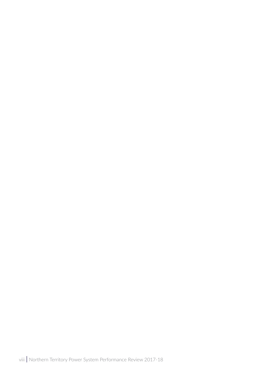viii | Northern Territory Power System Performance Review 2017-18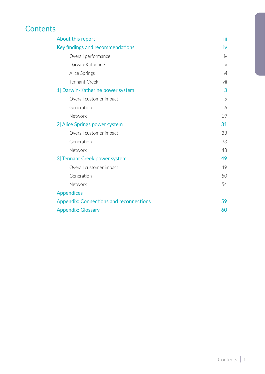# **Contents**

| About this report                              | iii    |
|------------------------------------------------|--------|
| Key findings and recommendations               | iv     |
| Overall performance                            | iv     |
| Darwin-Katherine                               | $\vee$ |
| Alice Springs                                  | vi     |
| <b>Tennant Creek</b>                           | vii    |
| 1 Darwin-Katherine power system                | 3      |
| Overall customer impact                        | 5      |
| Generation                                     | 6      |
| Network                                        | 19     |
| 2 Alice Springs power system                   | 31     |
| Overall customer impact                        | 33     |
| Generation                                     | 33     |
| Network                                        | 43     |
| 3 Tennant Creek power system                   | 49     |
| Overall customer impact                        | 49     |
| Generation                                     | 50     |
| Network                                        | 54     |
| <b>Appendices</b>                              |        |
| <b>Appendix: Connections and reconnections</b> | 59     |
| <b>Appendix: Glossary</b>                      | 60     |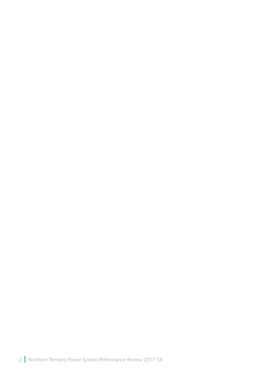2 | Northern Territory Power System Performance Review 2017-18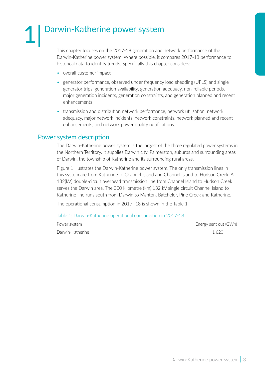<span id="page-10-0"></span>This chapter focuses on the 2017-18 generation and network performance of the Darwin-Katherine power system. Where possible, it compares 2017-18 performance to historical data to identify trends. Specifically this chapter considers:

- overall customer impact
- generator performance, observed under frequency load shedding (UFLS) and single generator trips, generation availability, generation adequacy, non-reliable periods, major generation incidents, generation constraints, and generation planned and recent enhancements
- transmission and distribution network performance, network utilisation, network adequacy, major network incidents, network constraints, network planned and recent enhancements, and network power quality notifications.

# Power system description

The Darwin-Katherine power system is the largest of the three regulated power systems in the Northern Territory. It supplies Darwin city, Palmerston, suburbs and surrounding areas of Darwin, the township of Katherine and its surrounding rural areas.

Figure 1 illustrates the Darwin-Katherine power system. The only transmission lines in this system are from Katherine to Channel Island and Channel Island to Hudson Creek. A 132(kV) double-circuit overhead transmission line from Channel Island to Hudson Creek serves the Darwin area. The 300 kilometre (km) 132 kV single circuit Channel Island to Katherine line runs south from Darwin to Manton, Batchelor, Pine Creek and Katherine.

The operational consumption in 2017- 18 is shown in the [Table 1.](#page-10-1)

#### <span id="page-10-1"></span>Table 1: Darwin-Katherine operational consumption in 2017-18

| Power system     | Energy sent out (GWh) |
|------------------|-----------------------|
| Darwin-Katherine | 1.620                 |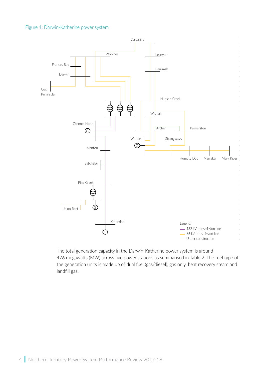#### <span id="page-11-0"></span>Figure 1: Darwin-Katherine power system



The total generation capacity in the Darwin-Katherine power system is around 476 megawatts (MW) across five power stations as summarised in Table 2. The fuel type of the generation units is made up of dual fuel (gas/diesel), gas only, heat recovery steam and landfill gas.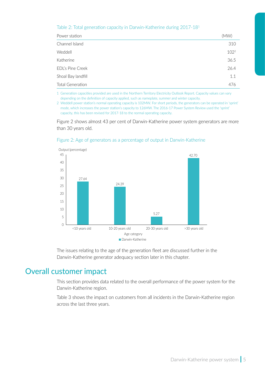<span id="page-12-0"></span>Table 2: Total generation capacity in Darwin-Katherine during 2017-181

| Power station           | (MW)             |
|-------------------------|------------------|
| Channel Island          | 310              |
| Weddell                 | 102 <sup>2</sup> |
| Katherine               | 36.5             |
| <b>EDL's Pine Creek</b> | 26.4             |
| Shoal Bay landfill      | 1.1              |
| Total Generation        | 476              |

1 Generation capacities provided are used in the Northern Territory Electricity Outlook Report. Capacity values can vary depending on the definition of capacity applied, such as nameplate, summer and winter capacity.

2 Weddell power station's normal operating capacity is 102MW. For short periods, the generators can be operated in 'sprint' mode, which increases the power station's capacity to 126MW. The 2016-17 Power System Review used the 'sprint' capacity, this has been revised for 2017-18 to the normal operating capacity.

[Figure 2](#page-12-1) shows almost 43 per cent of Darwin-Katherine power system generators are more than 30 years old.



<span id="page-12-1"></span>

The issues relating to the age of the generation fleet are discussed further in the Darwin-Katherine generator adequacy section later in this chapter.

# Overall customer impact

This section provides data related to the overall performance of the power system for the Darwin-Katherine region.

[Table 3](#page-13-1) shows the impact on customers from all incidents in the Darwin-Katherine region across the last three years.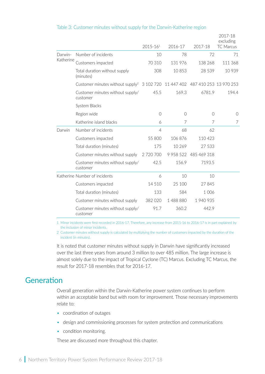|           |                                                                                          |                |          |                       | 2017-18<br>excluding |
|-----------|------------------------------------------------------------------------------------------|----------------|----------|-----------------------|----------------------|
|           |                                                                                          | 2015-161       | 2016-17  | 2017-18               | <b>TC Marcus</b>     |
| Darwin-   | Number of incidents                                                                      | 10             | 78       | 72                    | 71                   |
| Katherine | Customers impacted                                                                       | 70 310         | 131 976  | 138 268               | 111 368              |
|           | Total duration without supply<br>(minutes)                                               | 308            | 10853    | 28 539                | 10939                |
|           | Customer minutes without supply <sup>2</sup> 3 102 720 11 447 402 487 410 253 13 970 253 |                |          |                       |                      |
|           | Customer minutes without supply/<br>customer                                             | 45.5           | 169.3    | 6781.9                | 194.4                |
|           | System Blacks                                                                            |                |          |                       |                      |
|           | Region wide                                                                              | $\bigcap$      | $\Omega$ | $\Omega$              | $\Omega$             |
|           | Katherine island blacks                                                                  | 6              | 7        | 7                     | 7                    |
| Darwin    | Number of incidents                                                                      | $\overline{4}$ | 68       | 62                    |                      |
|           | Customers impacted                                                                       | 55 800         | 106 876  | 110423                |                      |
|           | Total duration (minutes)                                                                 | 175            | 10 269   | 27 5 3 3              |                      |
|           | Customer minutes without supply                                                          | 2 720 700      |          | 9 958 522 485 469 318 |                      |
|           | Customer minutes without supply/<br>customer                                             | 42.5           | 156.9    | 7193.5                |                      |
|           | Katherine Number of incidents                                                            | 6              | 10       | 10                    |                      |
|           | Customers impacted                                                                       | 14 5 10        | 25 100   | 27845                 |                      |
|           | Total duration (minutes)                                                                 | 133            | 584      | 1 0 0 6               |                      |
|           | Customer minutes without supply                                                          | 382 020        | 1488880  | 1 940 935             |                      |
|           | Customer minutes without supply/<br>customer                                             | 91.7           | 360.2    | 442.9                 |                      |

#### <span id="page-13-1"></span><span id="page-13-0"></span>Table 3: Customer minutes without supply for the Darwin-Katherine region

1 Minor incidents were first recorded in 2016-17. Therefore, any increase from 2015-16 to 2016-17 is in part explained by the inclusion of minor incidents.

2 Customer minutes without supply is calculated by multiplying the number of customers impacted by the duration of the incident (in minutes).

It is noted that customer minutes without supply in Darwin have significantly increased over the last three years from around 3 million to over 485 million. The large increase is almost solely due to the impact of Tropical Cyclone (TC) Marcus. Excluding TC Marcus, the result for 2017-18 resembles that for 2016-17.

# Generation

Overall generation within the Darwin-Katherine power system continues to perform within an acceptable band but with room for improvement. Those necessary improvements relate to:

- coordination of outages
- design and commissioning processes for system protection and communications
- condition monitoring.

These are discussed more throughout this chapter.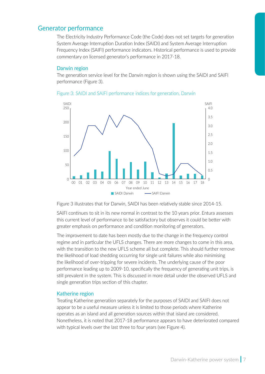# Generator performance

The Electricity Industry Performance Code (the Code) does not set targets for generation System Average Interruption Duration Index (SAIDI) and System Average Interruption Frequency Index (SAIFI) performance indicators. Historical performance is used to provide commentary on licensed generator's performance in 2017-18.

#### Darwin region

The generation service level for the Darwin region is shown using the SAIDI and SAIFI performance [\(Figure 3](#page-14-0)).

<span id="page-14-0"></span>



[Figure 3](#page-14-0) illustrates that for Darwin, SAIDI has been relatively stable since 2014-15.

SAIFI continues to sit in its new normal in contrast to the 10 years prior. Entura assesses this current level of performance to be satisfactory but observes it could be better with greater emphasis on performance and condition monitoring of generators.

The improvement to date has been mostly due to the change in the frequency control regime and in particular the UFLS changes. There are more changes to come in this area, with the transition to the new UFLS scheme all but complete. This should further remove the likelihood of load shedding occurring for single unit failures while also minimising the likelihood of over-tripping for severe incidents. The underlying cause of the poor performance leading up to 2009-10, specifically the frequency of generating unit trips, is still prevalent in the system. This is discussed in more detail under the observed UFLS and single generation trips section of this chapter.

#### Katherine region

Treating Katherine generation separately for the purposes of SAIDI and SAIFI does not appear to be a useful measure unless it is limited to those periods where Katherine operates as an island and all generation sources within that island are considered. Nonetheless, it is noted that 2017-18 performance appears to have deteriorated compared with typical levels over the last three to four years (see [Figure 4](#page-15-0)).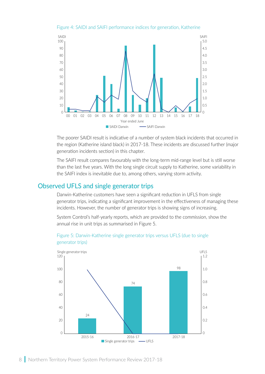

<span id="page-15-0"></span>

The poorer SAIDI result is indicative of a number of system black incidents that occurred in the region (Katherine island black) in 2017-18. These incidents are discussed further (major generation incidents section) in this chapter.

The SAIFI result compares favourably with the long-term mid-range level but is still worse than the last five years. With the long single circuit supply to Katherine, some variability in the SAIFI index is inevitable due to, among others, varying storm activity.

#### Observed UFLS and single generator trips

Darwin-Katherine customers have seen a significant reduction in UFLS from single generator trips, indicating a significant improvement in the effectiveness of managing these incidents. However, the number of generator trips is showing signs of increasing.

System Control's half-yearly reports, which are provided to the commission, show the annual rise in unit trips as summarised in [Figure 5](#page-15-1).



<span id="page-15-1"></span>Figure 5: Darwin-Katherine single generator trips versus UFLS (due to single generator trips)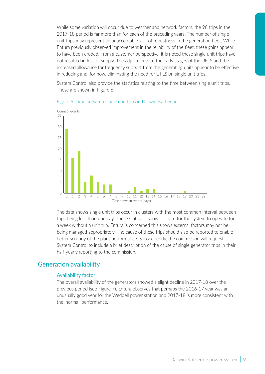While some variation will occur due to weather and network factors, the 98 trips in the 2017-18 period is far more than for each of the preceding years. The number of single unit trips may represent an unacceptable lack of robustness in the generation fleet. While Entura previously observed improvement in the reliability of the fleet, these gains appear to have been eroded. From a customer perspective, it is noted these single unit trips have not resulted in loss of supply. The adjustments to the early stages of the UFLS and the increased allowance for frequency support from the generating units appear to be effective in reducing and, for now, eliminating the need for UFLS on single unit trips.

System Control also provide the statistics relating to the time between single unit trips. These are shown in [Figure 6.](#page-16-0)



#### <span id="page-16-0"></span>Figure 6: Time between single unit trips in Darwin-Katherine

The data shows single unit trips occur in clusters with the most common interval between trips being less than one day. These statistics show it is rare for the system to operate for a week without a unit trip. Entura is concerned this shows external factors may not be being managed appropriately. The cause of these trips should also be reported to enable better scrutiny of the plant performance. Subsequently, the commission will request System Control to include a brief description of the cause of single generator trips in their half-yearly reporting to the commission.

## Generation availability

#### Availability factor

The overall availability of the generators showed a slight decline in 2017-18 over the previous period (see [Figure 7\)](#page-17-0). Entura observes that perhaps the 2016-17 year was an unusually good year for the Weddell power station and 2017-18 is more consistent with the 'normal' performance.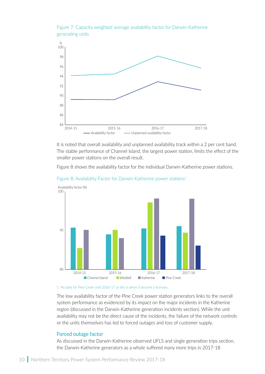

<span id="page-17-0"></span>Figure 7: Capacity weighted average availability factor for Darwin-Katherine generating units

It is noted that overall availability and unplanned availability track within a 2 per cent band. The stable performance of Channel Island, the largest power station, limits the effect of the smaller power stations on the overall result.

<span id="page-17-1"></span>[Figure 8](#page-17-1) shows the availability factor for the individual Darwin-Katherine power stations.





1 No data for Pine Creek until 2016-17 as this is when it became a licensee.

The low availability factor of the Pine Creek power station generators links to the overall system performance as evidenced by its impact on the major incidents in the Katherine region (discussed in the Darwin-Katherine generation incidents section). While the unit availability may not be the direct cause of the incidents, the failure of the network controls or the units themselves has led to forced outages and loss of customer supply.

#### Forced outage factor

As discussed in the Darwin-Katherine observed UFLS and single generation trips section, the Darwin-Katherine generators as a whole suffered many more trips in 2017-18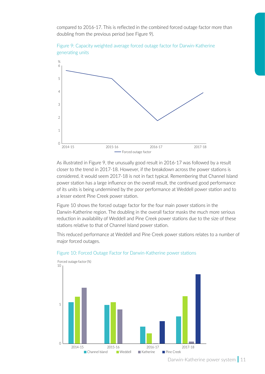<span id="page-18-0"></span>compared to 2016-17. This is reflected in the combined forced outage factor more than doubling from the previous period (see [Figure 9](#page-18-0)).





As illustrated in Figure 9, the unusually good result in 2016-17 was followed by a result closer to the trend in 2017-18. However, if the breakdown across the power stations is considered, it would seem 2017-18 is not in fact typical. Remembering that Channel Island power station has a large influence on the overall result, the continued good performance of its units is being undermined by the poor performance at Weddell power station and to a lesser extent Pine Creek power station.

[Figure 10](#page-18-1) shows the forced outage factor for the four main power stations in the Darwin-Katherine region. The doubling in the overall factor masks the much more serious reduction in availability of Weddell and Pine Creek power stations due to the size of these stations relative to that of Channel Island power station.

This reduced performance at Weddell and Pine Creek power stations relates to a number of major forced outages.

<span id="page-18-1"></span>

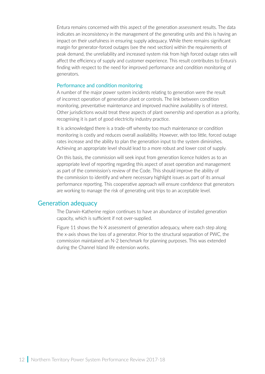Entura remains concerned with this aspect of the generation assessment results. The data indicates an inconsistency in the management of the generating units and this is having an impact on their usefulness in ensuring supply adequacy. While there remains significant margin for generator-forced outages (see the next section) within the requirements of peak demand, the unreliability and increased system risk from high forced outage rates will affect the efficiency of supply and customer experience. This result contributes to Entura's finding with respect to the need for improved performance and condition monitoring of generators.

#### Performance and condition monitoring

A number of the major power system incidents relating to generation were the result of incorrect operation of generation plant or controls. The link between condition monitoring, preventative maintenance and improved machine availability is of interest. Other jurisdictions would treat these aspects of plant ownership and operation as a priority, recognising it is part of good electricity industry practice.

It is acknowledged there is a trade-off whereby too much maintenance or condition monitoring is costly and reduces overall availability. However, with too little, forced outage rates increase and the ability to plan the generation input to the system diminishes. Achieving an appropriate level should lead to a more robust and lower cost of supply.

On this basis, the commission will seek input from generation licence holders as to an appropriate level of reporting regarding this aspect of asset operation and management as part of the commission's review of the Code. This should improve the ability of the commission to identify and where necessary highlight issues as part of its annual performance reporting. This cooperative approach will ensure confidence that generators are working to manage the risk of generating unit trips to an acceptable level.

# Generation adequacy

The Darwin-Katherine region continues to have an abundance of installed generation capacity, which is sufficient if not over-supplied.

[Figure 11](#page-20-0) shows the N-X assessment of generation adequacy, where each step along the x-axis shows the loss of a generator. Prior to the structural separation of PWC, the commission maintained an N-2 benchmark for planning purposes. This was extended during the Channel Island life extension works.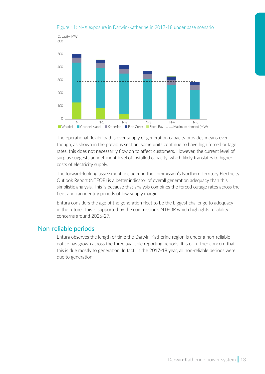

#### <span id="page-20-0"></span>Figure 11: N–X exposure in Darwin-Katherine in 2017-18 under base scenario

The operational flexibility this over supply of generation capacity provides means even though, as shown in the previous section, some units continue to have high forced outage rates, this does not necessarily flow on to affect customers. However, the current level of surplus suggests an inefficient level of installed capacity, which likely translates to higher costs of electricity supply.

The forward-looking assessment, included in the commission's Northern Territory Electricity Outlook Report (NTEOR) is a better indicator of overall generation adequacy than this simplistic analysis. This is because that analysis combines the forced outage rates across the fleet and can identify periods of low supply margin.

Entura considers the age of the generation fleet to be the biggest challenge to adequacy in the future. This is supported by the commission's NTEOR which highlights reliability concerns around 2026-27.

# Non-reliable periods

Entura observes the length of time the Darwin-Katherine region is under a non-reliable notice has grown across the three available reporting periods. It is of further concern that this is due mostly to generation. In fact, in the 2017-18 year, all non-reliable periods were due to generation.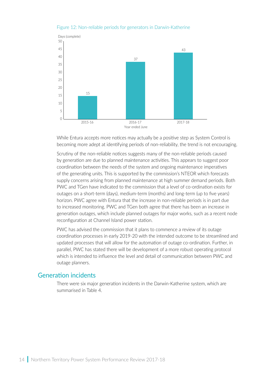

#### Figure 12: Non-reliable periods for generators in Darwin-Katherine

While Entura accepts more notices may actually be a positive step as System Control is becoming more adept at identifying periods of non-reliability, the trend is not encouraging.

Scrutiny of the non-reliable notices suggests many of the non-reliable periods caused by generation are due to planned maintenance activities. This appears to suggest poor coordination between the needs of the system and ongoing maintenance imperatives of the generating units. This is supported by the commission's NTEOR which forecasts supply concerns arising from planned maintenance at high summer demand periods. Both PWC and TGen have indicated to the commission that a level of co-ordination exists for outages on a short-term (days), medium-term (months) and long-term (up to five years) horizon. PWC agree with Entura that the increase in non-reliable periods is in part due to increased monitoring. PWC and TGen both agree that there has been an increase in generation outages, which include planned outages for major works, such as a recent node reconfiguration at Channel Island power station.

PWC has advised the commission that it plans to commence a review of its outage coordination processes in early 2019-20 with the intended outcome to be streamlined and updated processes that will allow for the automation of outage co-ordination. Further, in parallel, PWC has stated there will be development of a more robust operating protocol which is intended to influence the level and detail of communication between PWC and outage planners.

### Generation incidents

There were six major generation incidents in the Darwin-Katherine system, which are summarised in [Table 4.](#page-22-0)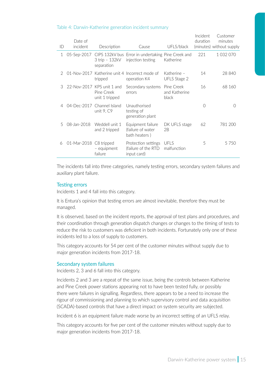#### <span id="page-22-0"></span>Table 4: Darwin-Katherine generation incident summary

| ID | Date of<br>incident    | Description                                                | Cause                                                                               | UFLS/black                           | Incident<br>duration | Customer<br>minutes<br>(minutes) without supply |
|----|------------------------|------------------------------------------------------------|-------------------------------------------------------------------------------------|--------------------------------------|----------------------|-------------------------------------------------|
| 1  |                        | 3 trip - 132kV<br>separation                               | 05-Sep-2017 CIPS 132kV bus Error in undertaking Pine Creek and<br>injection testing | Katherine                            | 221                  | 1032070                                         |
| 2  |                        | tripped                                                    | 01-Nov-2017 Katherine unit 4 Incorrect mode of<br>operation K4                      | Katherine $-$<br>UFLS Stage 2        | 14                   | 28 840                                          |
| 3  |                        | 22-Nov-2017 KPS unit 1 and<br>Pine Creek<br>unit 1 tripped | Secondary systems<br>errors                                                         | Pine Creek<br>and Katherine<br>black | 16                   | 68 160                                          |
| 4  |                        | 04-Dec-2017 Channel Island<br>unit 9, C9                   | Unauthorised<br>testing of<br>generation plant                                      |                                      | 0                    | $\left( \right)$                                |
| 5  | 08-Jan-2018            | Weddell unit 1<br>and 2 tripped                            | Equipment failure<br>(failure of water<br>bath heaters)                             | DK UFLS stage<br>2B                  | 62                   | 781 200                                         |
| 6  | 01-Mar-2018 C8 tripped | - equipment<br>failure                                     | Protection settings<br>(failure of the RTD<br>input card)                           | <b>UFLS</b><br>malfunction           | 5                    | 5750                                            |

The incidents fall into three categories, namely testing errors, secondary system failures and auxiliary plant failure.

#### Testing errors

Incidents 1 and 4 fall into this category.

It is Entura's opinion that testing errors are almost inevitable, therefore they must be managed.

It is observed, based on the incident reports, the approval of test plans and procedures, and their coordination through generation dispatch changes or changes to the timing of tests to reduce the risk to customers was deficient in both incidents. Fortunately only one of these incidents led to a loss of supply to customers.

This category accounts for 54 per cent of the customer minutes without supply due to major generation incidents from 2017-18.

#### Secondary system failures

Incidents 2, 3 and 6 fall into this category.

Incidents 2 and 3 are a repeat of the same issue, being the controls between Katherine and Pine Creek power stations appearing not to have been tested fully, or possibly there were failures in signalling. Regardless, there appears to be a need to increase the rigour of commissioning and planning to which supervisory control and data acquisition (SCADA)-based controls that have a direct impact on system security are subjected.

Incident 6 is an equipment failure made worse by an incorrect setting of an UFLS relay.

This category accounts for five per cent of the customer minutes without supply due to major generation incidents from 2017-18.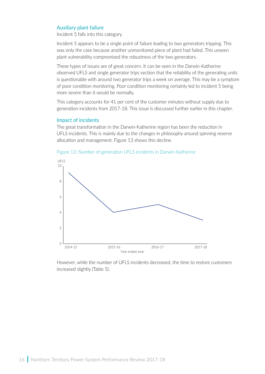#### Auxiliary plant failure

Incident 5 falls into this category.

Incident 5 appears to be a single point of failure leading to two generators tripping. This was only the case because another unmonitored piece of plant had failed. This unseen plant vulnerability compromised the robustness of the two generators.

These types of issues are of great concern. It can be seen in the Darwin-Katherine observed UFLS and single generator trips section that the reliability of the generating units is questionable with around two generator trips a week on average. This may be a symptom of poor condition monitoring. Poor condition monitoring certainly led to incident 5 being more severe than it would be normally.

This category accounts for 41 per cent of the customer minutes without supply due to generation incidents from 2017-18. This issue is discussed further earlier in this chapter.

#### Impact of incidents

The great transformation in the Darwin-Katherine region has been the reduction in UFLS incidents. This is mainly due to the changes in philosophy around spinning reserve allocation and management. [Figure 13](#page-23-0) shows this decline.



<span id="page-23-0"></span>

However, while the number of UFLS incidents decreased, the time to restore customers increased slightly [\(Table 5\)](#page-24-0).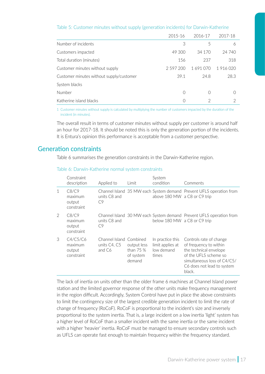|                                          | 2015-16   | 2016-17 | 2017-18          |
|------------------------------------------|-----------|---------|------------------|
| Number of incidents                      | 3         | 5       | 6                |
| Customers impacted                       | 49 300    | 34 170  | 24 740           |
| Total duration (minutes)                 | 156       | 237     | 318              |
| Customer minutes without supply          | 2 597 200 | 1691070 | 1916020          |
| Customer minutes without supply/customer | 39.1      | 24.8    | 28.3             |
| System blacks                            |           |         |                  |
| Number                                   | $\Omega$  | 0       | $\left( \right)$ |
| Katherine island blacks                  | $\Omega$  | 2       | 2                |

<span id="page-24-0"></span>Table 5: Customer minutes without supply (generation incidents) for Darwin-Katherine

1 Customer minutes without supply is calculated by multiplying the number of customers impacted by the duration of the incident (in minutes).

The overall result in terms of customer minutes without supply per customer is around half an hour for 2017-18. It should be noted this is only the generation portion of the incidents. It is Entura's opinion this performance is acceptable from a customer perspective.

## Generation constraints

Table 6 summarises the generation constraints in the Darwin-Katherine region.

|              | Constraint<br>description                   | Applied to                                        | Limit                                           | System<br>condition                                         | Comments                                                                                                                                                                    |
|--------------|---------------------------------------------|---------------------------------------------------|-------------------------------------------------|-------------------------------------------------------------|-----------------------------------------------------------------------------------------------------------------------------------------------------------------------------|
| $\mathbf{1}$ | C8/C9<br>maximum<br>output<br>constraint    | units C8 and<br>C9                                |                                                 | above 180 MW a C8 or C9 trip                                | Channel Island 35 MW each System demand Prevent UFLS operation from                                                                                                         |
| 2            | C8/C9<br>maximum<br>output<br>constraint    | units C8 and<br>C9                                |                                                 | below 180 MW a C8 or C9 trip                                | Channel Island 30 MW each System demand Prevent UFLS operation from                                                                                                         |
| 3            | C4/C5/C6<br>maximum<br>output<br>constraint | Channel Island Combined<br>units C4, C5<br>and C6 | output less<br>than 75 %<br>of system<br>demand | In practice this<br>limit applies at<br>low demand<br>times | Controls rate of change<br>of frequency to within<br>the technical envelope<br>of the UFLS scheme so<br>simultaneous loss of C4/C5/<br>C6 does not lead to system<br>black. |

The lack of inertia on units other than the older frame 6 machines at Channel Island power station and the limited governor response of the other units make frequency management in the region difficult. Accordingly, System Control have put in place the above constraints to limit the contingency size of the largest credible generation incident to limit the rate of change of frequency (RoCoF). RoCoF is proportional to the incident's size and inversely proportional to the system inertia. That is, a large incident on a low inertia 'light' system has a higher level of RoCoF than a smaller incident with the same inertia or the same incident with a higher 'heavier' inertia. RoCoF must be managed to ensure secondary controls such as UFLS can operate fast enough to maintain frequency within the frequency standard.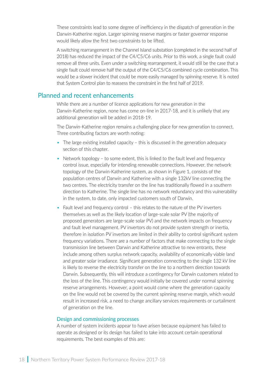These constraints lead to some degree of inefficiency in the dispatch of generation in the Darwin-Katherine region. Larger spinning reserve margins or faster governor response would likely allow the first two constraints to be lifted.

A switching rearrangement in the Channel Island substation (completed in the second half of 2018) has reduced the impact of the C4/C5/C6 units. Prior to this work, a single fault could remove all three units. Even under a switching rearrangement, it would still be the case that a single fault could remove half the output of the C4/C5/C6 combined cycle combination. This would be a slower incident that could be more easily managed by spinning reserve. It is noted that System Control plan to reassess the constraint in the first half of 2019.

# Planned and recent enhancements

While there are a number of licence applications for new generation in the Darwin-Katherine region, none has come on-line in 2017-18, and it is unlikely that any additional generation will be added in 2018-19.

The Darwin-Katherine region remains a challenging place for new generation to connect. Three contributing factors are worth noting:

- The large existing installed capacity this is discussed in the generation adequacy section of this chapter.
- Network topology to some extent, this is linked to the fault level and frequency control issue, especially for intending renewable connections. However, the network topology of the Darwin-Katherine system, as shown in [Figure 1,](#page-11-0) consists of the population centres of Darwin and Katherine with a single 132kV line connecting the two centres. The electricity transfer on the line has traditionally flowed in a southern direction to Katherine. The single line has no network redundancy and this vulnerability in the system, to date, only impacted customers south of Darwin.
- Fault level and frequency control this relates to the nature of the PV inverters themselves as well as the likely location of large-scale solar PV (the majority of proposed generators are large-scale solar PV) and the network impacts on frequency and fault level management. PV invertors do not provide system strength or inertia, therefore in isolation PV invertors are limited in their ability to control significant system frequency variations. There are a number of factors that make connecting to the single transmission line between Darwin and Katherine attractive to new entrants, these include among others surplus network capacity, availability of economically viable land and greater solar irradiance. Significant generation connecting to the single 132 kV line is likely to reverse the electricity transfer on the line to a northern direction towards Darwin. Subsequently, this will introduce a contingency for Darwin customers related to the loss of the line. This contingency would initially be covered under normal spinning reserve arrangements. However, a point would come where the generation capacity on the line would not be covered by the current spinning reserve margin, which would result in increased risk, a need to change ancillary services requirements or curtailment of generation on the line.

#### Design and commissioning processes

A number of system incidents appear to have arisen because equipment has failed to operate as designed or its design has failed to take into account certain operational requirements. The best examples of this are: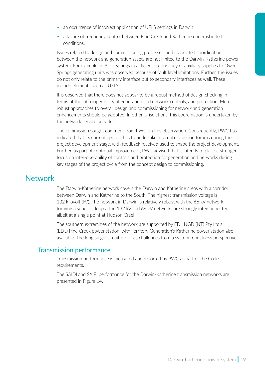- <span id="page-26-0"></span>• an occurrence of incorrect application of UFLS settings in Darwin
- a failure of frequency control between Pine Creek and Katherine under islanded conditions.

Issues related to design and commissioning processes, and associated coordination between the network and generation assets are not limited to the Darwin-Katherine power system. For example, in Alice Springs insufficient redundancy of auxiliary supplies to Owen Springs generating units was observed because of fault level limitations. Further, the issues do not only relate to the primary interface but to secondary interfaces as well. These include elements such as UFLS.

It is observed that there does not appear to be a robust method of design checking in terms of the inter-operability of generation and network controls, and protection. More robust approaches to overall design and commissioning for network and generation enhancements should be adopted. In other jurisdictions, this coordination is undertaken by the network service provider.

The commission sought comment from PWC on this observation. Consequently, PWC has indicated that its current approach is to undertake internal discussion forums during the project development stage, with feedback received used to shape the project development. Further, as part of continual improvement, PWC advised that it intends to place a stronger focus on inter-operability of controls and protection for generation and networks during key stages of the project cycle from the concept design to commissioning.

# **Network**

The Darwin-Katherine network covers the Darwin and Katherine areas with a corridor between Darwin and Katherine to the South. The highest transmission voltage is 132 kilovolt (kV). The network in Darwin is relatively robust with the 66 kV network forming a series of loops. The 132 kV and 66 kV networks are strongly interconnected, albeit at a single point at Hudson Creek.

The southern extremities of the network are supported by EDL NGD (NT) Pty Ltd's (EDL) Pine Creek power station, with Territory Generation's Katherine power station also available. The long single circuit provides challenges from a system robustness perspective.

## Transmission performance

Transmission performance is measured and reported by PWC as part of the Code requirements.

The SAIDI and SAIFI performance for the Darwin-Katherine transmission networks are presented in [Figure 14](#page-27-0).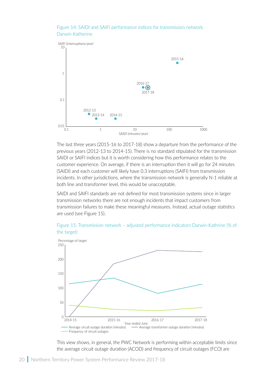

#### <span id="page-27-0"></span>Figure 14: SAIDI and SAIFI performance indices for transmission network, Darwin-Katherine

The last three years (2015-16 to 2017-18) show a departure from the performance of the previous years (2012-13 to 2014-15). There is no standard stipulated for the transmission SAIDI or SAIFI indices but it is worth considering how this performance relates to the customer experience. On average, if there is an interruption then it will go for 24 minutes (SAIDI) and each customer will likely have 0.3 interruptions (SAIFI) from transmission incidents. In other jurisdictions, where the transmission network is generally N-1 reliable at both line and transformer level, this would be unacceptable.

SAIDI and SAIFI standards are not defined for most transmission systems since in larger transmission networks there are not enough incidents that impact customers from transmission failures to make these meaningful measures. Instead, actual outage statistics are used (see [Figure 15](#page-27-1)).

<span id="page-27-1"></span>



This view shows, in general, the PWC Network is performing within acceptable limits since the average circuit outage duration (ACOD) and frequency of circuit outages (FCO) are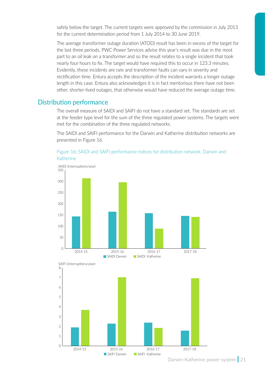safely below the target. The current targets were approved by the commission in July 2013 for the current determination period from 1 July 2014 to 30 June 2019.

The average transformer outage duration (ATOD) result has been in excess of the target for the last three periods. PWC Power Services advise this year's result was due in the most part to an oil leak on a transformer and so the result relates to a single incident that took nearly four hours to fix. The target would have required this to occur in 123.3 minutes. Evidently, these incidents are rare and transformer faults can vary in severity and rectification time. Entura accepts the description of the incident warrants a longer outage length in this case. Entura also acknowledges it is in fact meritorious there have not been other, shorter-lived outages, that otherwise would have reduced the average outage time.

# Distribution performance

The overall measure of SAIDI and SAIFI do not have a standard set. The standards are set at the feeder type level for the sum of the three regulated power systems. The targets were met for the combination of the three regulated networks.

The SAIDI and SAIFI performance for the Darwin and Katherine distribution networks are presented in [Figure 16](#page-28-0).

<span id="page-28-0"></span>

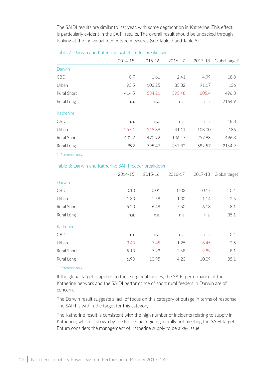The SAIDI results are similar to last year, with some degradation in Katherine. This effect is particularly evident in the SAIFI results. The overall result should be unpacked through looking at the individual feeder type measures (see [Table 7](#page-29-0) and Table 8).

|                  | 2014-15 | 2015-16 | 2016-17 | 2017-18 | Global target <sup>1</sup> |
|------------------|---------|---------|---------|---------|----------------------------|
| Darwin           |         |         |         |         |                            |
| <b>CBD</b>       | 0.7     | 1.61    | 2.41    | 4.99    | 18.8                       |
| Urban            | 95.5    | 103.25  | 83.32   | 91.17   | 136                        |
| Rural Short      | 414.5   | 534.21  | 593.48  | 605.4   | 496.3                      |
| Rural Long       | n.a.    | n.a.    | n.a.    | n.a.    | 2164.9                     |
| <b>Katherine</b> |         |         |         |         |                            |
| <b>CBD</b>       | n.a.    | n.a.    | n.a.    | n.a.    | 18.8                       |
| Urban            | 257.1   | 218.89  | 41.11   | 103.00  | 136                        |
| Rural Short      | 432.2   | 470.92  | 136.47  | 257.98  | 496.3                      |
| Rural Long       | 892     | 795.47  | 367.82  | 582.57  | 2164.9                     |

#### <span id="page-29-0"></span>Table 7: Darwin and Katherine SAIDI feeder breakdown

1 Reference only.

#### Table 8: Darwin and Katherine SAIFI feeder breakdown

|             | 2014-15 | 2015-16 | 2016-17 | 2017-18 | Global target <sup>1</sup> |
|-------------|---------|---------|---------|---------|----------------------------|
| Darwin      |         |         |         |         |                            |
| <b>CBD</b>  | 0.10    | 0.01    | 0.03    | 0.17    | 0.4                        |
| Urban       | 1.30    | 1.58    | 1.30    | 1.14    | 2.5                        |
| Rural Short | 5.20    | 6.48    | 7.50    | 6.18    | 8.1                        |
| Rural Long  | n.a.    | n.a.    | n.a.    | n.a.    | 35.1                       |
| Katherine   |         |         |         |         |                            |
| <b>CBD</b>  | n.a.    | n.a.    | n.a.    | n.a.    | 0.4                        |
| Urban       | 3.40    | 7.45    | 1.25    | 6.45    | 2.5                        |
| Rural Short | 5.10    | 7.99    | 2.68    | 9.89    | 8.1                        |
| Rural Long  | 6.90    | 10.95   | 4.23    | 10.09   | 35.1                       |

1 Reference only.

If the global target is applied to these regional indices, the SAIFI performance of the Katherine network and the SAIDI performance of short rural feeders in Darwin are of concern.

The Darwin result suggests a lack of focus on this category of outage in terms of response. The SAIFI is within the target for this category.

The Katherine result is consistent with the high number of incidents relating to supply in Katherine, which is shown by the Katherine region generally not meeting the SAIFI target. Entura considers the management of Katherine supply to be a key issue.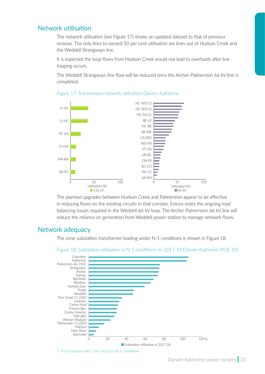# Network utilisation

The network utilisation (see [Figure 17\)](#page-30-0) shows an updated dataset to that of previous reviews. The only lines to exceed 50 per cent utilisation are lines out of Hudson Creek and the Weddell Strangways line.

It is expected the loop flows from Hudson Creek would not lead to overloads after line tripping occurs.

The Weddell Strangways line flow will be reduced once the Archer-Palmerston 66 kV line is completed.



<span id="page-30-0"></span>

The planned upgrades between Hudson Creek and Palmerston appear to be effective in reducing flows on the existing circuits in that corridor. Entura notes the ongoing load balancing issues required in the Weddell 66 kV loop. The Archer-Palmerston 66 kV line will reduce the reliance on generation from Weddell power station to manage network flows.

# Network adequacy

The zone substation transformer loading under N-1 conditions is shown in [Figure 18](#page-30-1).



<span id="page-30-1"></span>Figure 18: Substation utilisation in N-1 conditions on 2017-18 Darwin-Katherine (POE 10)

1 The Substation with (\*) the rating for (N) is considered.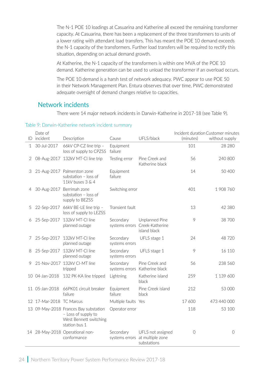The N-1 POE 10 loadings at Casuarina and Katherine all exceed the remaining transformer capacity. At Casuarina, there has been a replacement of the three transformers to units of a lower rating with attendant load transfers. This has meant the POE 10 demand exceeds the N-1 capacity of the transformers. Further load transfers will be required to rectify this situation, depending on actual demand growth.

At Katherine, the N-1 capacity of the transformers is within one MVA of the POE 10 demand. Katherine generation can be used to unload the transformer if an overload occurs.

The POE 10 demand is a harsh test of network adequacy. PWC appear to use POE 50 in their Network Management Plan. Entura observes that over time, PWC demonstrated adequate oversight of demand changes relative to capacities.

# Network incidents

There were 14 major network incidents in Darwin-Katherine in 2017-18 (see [Table 9\)](#page-31-0).

| ID | Date of<br>incident      | Description                                                                                             | Cause                       | UFLS/black                                                          | (minutes)  | Incident duration Customer minutes<br>without supply |
|----|--------------------------|---------------------------------------------------------------------------------------------------------|-----------------------------|---------------------------------------------------------------------|------------|------------------------------------------------------|
| 1  | 30-Jul-2017              | 66kV CP-CZ line trip -<br>loss of supply to CPZSS                                                       | Equipment<br>failure        |                                                                     | 101        | 28 28 0                                              |
| 2  |                          | 08-Aug-2017 132kV MT-CI line trip                                                                       | Testing error               | Pine Creek and<br>Katherine black                                   | 56         | 240 800                                              |
| 3  |                          | 21-Aug-2017 Palmerston zone<br>substation - loss of<br>11kV buses 3 & 4                                 | Equipment<br>failure        |                                                                     | 14         | 50 400                                               |
| 4  |                          | 30-Aug-2017 Berrimah zone<br>substation - loss of<br>supply to BEZSS                                    | Switching error             |                                                                     | 401        | 1 908 760                                            |
| 5  |                          | 22-Sep-2017 66kV BE-LE line trip -<br>loss of supply to LEZSS                                           | Transient fault             |                                                                     | 13         | 42 380                                               |
| 6  |                          | 25-Sep-2017 132kV MT-CI line<br>planned outage                                                          | Secondary                   | Unplanned Pine<br>systems errors Creek-Katherine<br>island black    | 9          | 38 700                                               |
| 7  |                          | 25-Sep-2017 132kV MT-CI line<br>planned outage                                                          | Secondary<br>systems errors | UFLS stage 1                                                        | 24         | 48720                                                |
| 8  |                          | 25-Sep-2017 132kV MT-CI line<br>planned outage                                                          | Secondary<br>systems errors | UFLS stage 1                                                        | 9          | 16 110                                               |
| 9  |                          | 21-Nov-2017 132kV CI-MT line<br>tripped                                                                 | Secondary                   | Pine Creek and<br>systems errors Katherine black                    | 56         | 238 560                                              |
|    | 10 04-Jan-2018           | 132 PK-KA line tripped                                                                                  | Lightning                   | Katherine island<br>black                                           | 259        | 1 139 600                                            |
|    | 11 05-Jan-2018           | 66PK01 circuit breaker<br>failure                                                                       | Equipment<br>failure        | Pine Creek island<br>black                                          | 212        | 53 000                                               |
|    | 12 17-Mar-2018 TC Marcus |                                                                                                         | Multiple faults Yes         |                                                                     | 17 600     | 473 440 000                                          |
|    |                          | 13 09-May-2018 Frances Bay substation<br>- Loss of supply to<br>West Bennett switching<br>station bus 1 | Operator error              |                                                                     | 118        | 53 100                                               |
|    |                          | 14 28-May-2018 Operational non-<br>conformance                                                          | Secondary                   | UFLS not assigned<br>systems errors at multiple zone<br>substations | $\bigcirc$ | $\bigcirc$                                           |

#### <span id="page-31-0"></span>Table 9: Darwin-Katherine network incident summary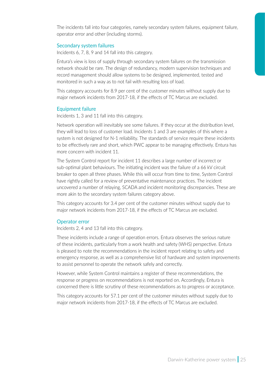The incidents fall into four categories, namely secondary system failures, equipment failure, operator error and other (including storms).

#### Secondary system failures

Incidents 6, 7, 8, 9 and 14 fall into this category.

Entura's view is loss of supply through secondary system failures on the transmission network should be rare. The design of redundancy, modern supervision techniques and record management should allow systems to be designed, implemented, tested and monitored in such a way as to not fail with resulting loss of load.

This category accounts for 8.9 per cent of the customer minutes without supply due to major network incidents from 2017-18, if the effects of TC Marcus are excluded.

#### Equipment failure

Incidents 1, 3 and 11 fall into this category.

Network operation will inevitably see some failures. If they occur at the distribution level, they will lead to loss of customer load. Incidents 1 and 3 are examples of this where a system is not designed for N-1 reliability. The standards of service require these incidents to be effectively rare and short, which PWC appear to be managing effectively. Entura has more concern with incident 11.

The System Control report for incident 11 describes a large number of incorrect or sub-optimal plant behaviours. The initiating incident was the failure of a 66 kV circuit breaker to open all three phases. While this will occur from time to time, System Control have rightly called for a review of preventative maintenance practices. The incident uncovered a number of relaying, SCADA and incident monitoring discrepancies. These are more akin to the secondary system failures category above.

This category accounts for 3.4 per cent of the customer minutes without supply due to major network incidents from 2017-18, if the effects of TC Marcus are excluded.

#### Operator error

Incidents 2, 4 and 13 fall into this category.

These incidents include a range of operation errors. Entura observes the serious nature of these incidents, particularly from a work health and safety (WHS) perspective. Entura is pleased to note the recommendations in the incident report relating to safety and emergency response, as well as a comprehensive list of hardware and system improvements to assist personnel to operate the network safely and correctly.

However, while System Control maintains a register of these recommendations, the response or progress on recommendations is not reported on. Accordingly, Entura is concerned there is little scrutiny of these recommendations as to progress or acceptance.

This category accounts for 57.1 per cent of the customer minutes without supply due to major network incidents from 2017-18, if the effects of TC Marcus are excluded.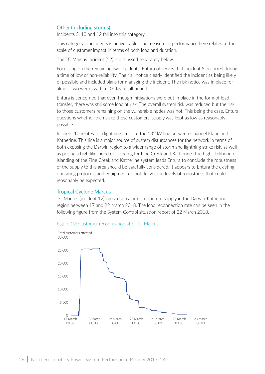#### Other (including storms)

Incidents 5, 10 and 12 fall into this category.

This category of incidents is unavoidable. The measure of performance here relates to the scale of customer impact in terms of both load and duration.

The TC Marcus incident (12) is discussed separately below.

Focussing on the remaining two incidents, Entura observes that incident 5 occurred during a time of low or non-reliability. The risk notice clearly identified the incident as being likely or possible and included plans for managing the incident. The risk notice was in place for almost two weeks with a 10-day recall period.

Entura is concerned that even though mitigations were put in place in the form of load transfer, there was still some load at risk. The overall system risk was reduced but the risk to those customers remaining on the vulnerable nodes was not. This being the case, Entura questions whether the risk to those customers' supply was kept as low as reasonably possible.

Incident 10 relates to a lightning strike to the 132 kV line between Channel Island and Katherine. This line is a major source of system disturbances for the network in terms of both exposing the Darwin region to a wider range of storm and lightning strike risk, as well as posing a high likelihood of islanding for Pine Creek and Katherine. The high likelihood of islanding of the Pine Creek and Katherine system leads Entura to conclude the robustness of the supply to this area should be carefully considered. It appears to Entura the existing operating protocols and equipment do not deliver the levels of robustness that could reasonably be expected.

#### Tropical Cyclone Marcus

TC Marcus (incident 12) caused a major disruption to supply in the Darwin-Katherine region between 17 and 22 March 2018. The load reconnection rate can be seen in the following figure from the System Control situation report of 22 March 2018.



#### Figure 19: Customer reconnection after TC Marcus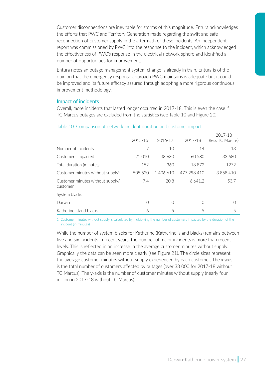Customer disconnections are inevitable for storms of this magnitude. Entura acknowledges the efforts that PWC and Territory Generation made regarding the swift and safe reconnection of customer supply in the aftermath of these incidents. An independent report was commissioned by PWC into the response to the incident, which acknowledged the effectiveness of PWC's response in the electrical network sphere and identified a number of opportunities for improvement.

Entura notes an outage management system change is already in train. Entura is of the opinion that the emergency response approach PWC maintains is adequate but it could be improved and its future efficacy assured through adopting a more rigorous continuous improvement methodology.

#### Impact of incidents

Overall, more incidents that lasted longer occurred in 2017-18. This is even the case if TC Marcus outages are excluded from the statistics (see [Table 10](#page-34-0) and Figure 20).

#### <span id="page-34-0"></span>Table 10: Comparison of network incident duration and customer impact

|                                              | 2015-16   | 2016-17   | 2017-18     | 2017-18<br>(less TC Marcus) |
|----------------------------------------------|-----------|-----------|-------------|-----------------------------|
| Number of incidents                          | 7         | 10        | 14          | 13                          |
| Customers impacted                           | 21 010    | 38 630    | 60.580      | 33 680                      |
| Total duration (minutes)                     | 152       | 360       | 18872       | 1272                        |
| Customer minutes without supply <sup>1</sup> | 505 520   | 1 406 610 | 477 298 410 | 3858410                     |
| Customer minutes without supply/<br>customer | 7.4       | 20.8      | 6 641.2     | 53.7                        |
| System blacks                                |           |           |             |                             |
| Darwin                                       | $\bigcap$ | ∩         | $\bigcirc$  | ∩                           |
| Katherine island blacks                      | 6         | 5         | 5           | 5                           |

1 Customer minutes without supply is calculated by multiplying the number of customers impacted by the duration of the incident (in minutes).

While the number of system blacks for Katherine (Katherine island blacks) remains between five and six incidents in recent years, the number of major incidents is more than recent levels. This is reflected in an increase in the average customer minutes without supply. Graphically the data can be seen more clearly (see Figure 21). The circle sizes represent the average customer minutes without supply experienced by each customer. The x-axis is the total number of customers affected by outages (over 33 000 for 2017-18 without TC Marcus). The y-axis is the number of customer minutes without supply (nearly four million in 2017-18 without TC Marcus).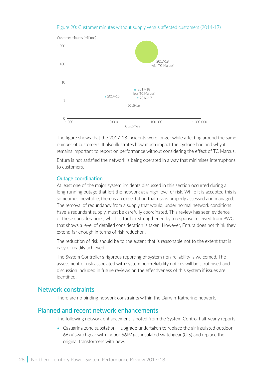#### Figure 20: Customer minutes without supply versus affected customers (2014-17)



The figure shows that the 2017-18 incidents were longer while affecting around the same number of customers. It also illustrates how much impact the cyclone had and why it remains important to report on performance without considering the effect of TC Marcus.

Entura is not satisfied the network is being operated in a way that minimises interruptions to customers.

#### Outage coordination

At least one of the major system incidents discussed in this section occurred during a long-running outage that left the network at a high level of risk. While it is accepted this is sometimes inevitable, there is an expectation that risk is properly assessed and managed. The removal of redundancy from a supply that would, under normal network conditions have a redundant supply, must be carefully coordinated. This review has seen evidence of these considerations, which is further strengthened by a response received from PWC that shows a level of detailed consideration is taken. However, Entura does not think they extend far enough in terms of risk reduction.

The reduction of risk should be to the extent that is reasonable not to the extent that is easy or readily achieved.

The System Controller's rigorous reporting of system non-reliability is welcomed. The assessment of risk associated with system non-reliability notices will be scrutinised and discussion included in future reviews on the effectiveness of this system if issues are identified.

# Network constraints

There are no binding network constraints within the Darwin-Katherine network.

### Planned and recent network enhancements

The following network enhancement is noted from the System Control half-yearly reports:

• Casuarina zone substation – upgrade undertaken to replace the air insulated outdoor 66kV switchgear with indoor 66kV gas insulated switchgear (GIS) and replace the original transformers with new.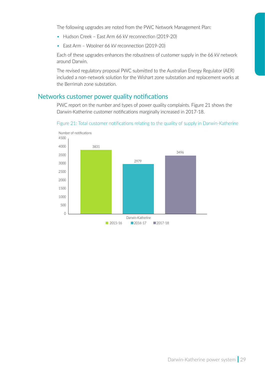The following upgrades are noted from the PWC Network Management Plan:

- Hudson Creek East Arm 66 kV reconnection (2019-20)
- East Arm Woolner 66 kV reconnection (2019-20)

Each of these upgrades enhances the robustness of customer supply in the 66 kV network around Darwin.

The revised regulatory proposal PWC submitted to the Australian Energy Regulator (AER) included a non-network solution for the Wishart zone substation and replacement works at the Berrimah zone substation.

### Networks customer power quality notifications

PWC report on the number and types of power quality complaints. [Figure 21](#page-36-0) shows the Darwin-Katherine customer notifications marginally increased in 2017-18.



<span id="page-36-0"></span>Figure 21: Total customer notifications relating to the quality of supply in Darwin-Katherine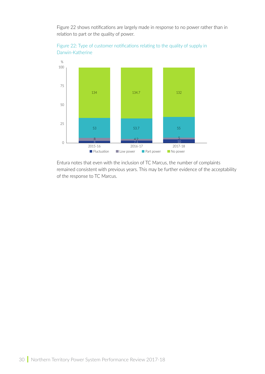[Figure 22](#page-37-0) shows notifications are largely made in response to no power rather than in relation to part or the quality of power.



<span id="page-37-0"></span>Figure 22: Type of customer notifications relating to the quality of supply in Darwin-Katherine

Entura notes that even with the inclusion of TC Marcus, the number of complaints remained consistent with previous years. This may be further evidence of the acceptability of the response to TC Marcus.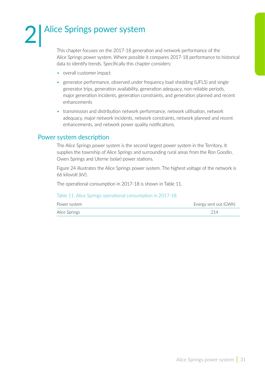<span id="page-38-0"></span>

This chapter focuses on the 2017-18 generation and network performance of the Alice Springs power system. Where possible it compares 2017-18 performance to historical data to identify trends. Specifically this chapter considers:

- overall customer impact
- generator performance, observed under frequency load shedding (UFLS) and single generator trips, generation availability, generation adequacy, non-reliable periods, major generation incidents, generation constraints, and generation planned and recent enhancements
- transmission and distribution network performance, network utilisation, network adequacy, major network incidents, network constraints, network planned and recent enhancements, and network power quality notifications.

# Power system description

 supplies the township of Alice Springs and surrounding rural areas from the Ron Goodin, The Alice Springs power system is the second largest power system in the Territory. It Owen Springs and Uterne (solar) power stations.

Figure 24 illustrates the Alice Springs power system. The highest voltage of the network is 66 kilovolt (kV).

The operational consumption in 2017-18 is shown in [Table 11](#page-38-1).

#### <span id="page-38-1"></span>Table 11. Alice Springs operational consumption in 2017-18

| Power system  | Energy sent out (GWh) |
|---------------|-----------------------|
| Alice Springs |                       |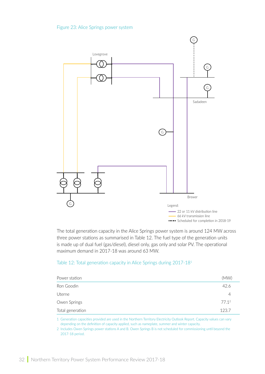

The total generation capacity in the Alice Springs power system is around 124 MW across three power stations as summarised in Table 12. The fuel type of the generation units is made up of dual fuel (gas/diesel), diesel only, gas only and solar PV. The operational maximum demand in 2017-18 was around 63 MW.

#### Table 12: Total generation capacity in Alice Springs during 2017-181

| Power station    | (MW)  |
|------------------|-------|
| Ron Goodin       | 42.6  |
| Uterne           |       |
| Owen Springs     | 77.12 |
| Total generation | 123.7 |
|                  |       |

1 Generation capacities provided are used in the Northern Territory Electricity Outlook Report. Capacity values can vary depending on the definition of capacity applied, such as nameplate, summer and winter capacity.

2 Includes Owen Springs power stations A and B. Owen Springs B is not scheduled for commissioning until beyond the 2017-18 period.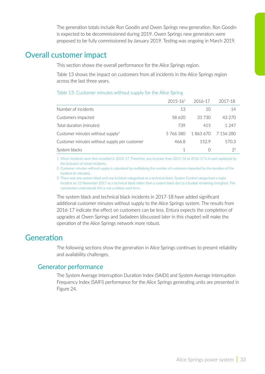proposed to be fully commissioned by January 2019. Testing was ongoing in March 2019. The generation totals include Ron Goodin and Owen Springs new generation. Ron Goodin is expected to be decommissioned during 2019. Owen Springs new generators were

# <span id="page-40-0"></span>Overall customer impact

This section shows the overall performance for the Alice Springs region.

[Table 13](#page-40-1) shows the impact on customers from all incidents in the Alice Springs region across the last three years.

<span id="page-40-1"></span>Table 13: Customer minutes without supply for the Alice Spring

|                                              | $2015 - 16^{1}$ | 2016-17   | 2017-18   |
|----------------------------------------------|-----------------|-----------|-----------|
| Number of incidents                          | 13              | 10        | 14        |
| Customers impacted                           | 58 620          | 33 730    | 43 270    |
| Total duration (minutes)                     | 739             | 415       | 1 2 4 7   |
| Customer minutes without supply <sup>2</sup> | 5 766 380       | 1 863 670 | 7 156 280 |
| Customer minutes without supply per customer | 466.8           | 152.9     | 570.3     |
| System blacks                                |                 |           | 23        |

1 Minor incidents were first recorded in 2016-17. Therefore, any increase from 2015-16 to 2016-17 is in part explained by the inclusion of minor incidents.

2 Customer minutes without supply is calculated by multiplying the number of customers impacted by the duration of the incident (in minutes).

3 There was one system black and one incident categorised as a technical black. System Control categorised a major incident on 13 November 2017 as a technical black rather than a system black due to a busbar remaining energised. The commission understands this is not a widely used term.

The system black and technical black incidents in 2017-18 have added significant additional customer minutes without supply to the Alice Springs system. The results from 2016-17 indicate the effect on customers can be less. Entura expects the completion of upgrades at Owen Springs and Sadadeen (discussed later in this chapter) will make the operation of the Alice Springs network more robust.

# Generation

The following sections show the generation in Alice Springs continues to present reliability and availability challenges.

## Generator performance

The System Average Interruption Duration Index (SAIDI) and System Average Interruption Frequency Index (SAIFI) performance for the Alice Springs generating units are presented in [Figure 24.](#page-41-0)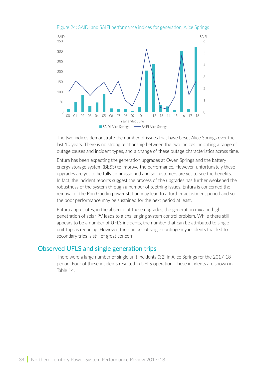

<span id="page-41-0"></span>Figure 24: SAIDI and SAIFI performance indices for generation, Alice Springs

The two indices demonstrate the number of issues that have beset Alice Springs over the last 10 years. There is no strong relationship between the two indices indicating a range of outage causes and incident types, and a change of these outage characteristics across time.

Entura has been expecting the generation upgrades at Owen Springs and the battery energy storage system (BESS) to improve the performance. However, unfortunately these upgrades are yet to be fully commissioned and so customers are yet to see the benefits. In fact, the incident reports suggest the process of the upgrades has further weakened the robustness of the system through a number of teething issues. Entura is concerned the removal of the Ron Goodin power station may lead to a further adjustment period and so the poor performance may be sustained for the next period at least.

Entura appreciates, in the absence of these upgrades, the generation mix and high penetration of solar PV leads to a challenging system control problem. While there still appears to be a number of UFLS incidents, the number that can be attributed to single unit trips is reducing. However, the number of single contingency incidents that led to secondary trips is still of great concern.

# Observed UFLS and single generation trips

There were a large number of single unit incidents (32) in Alice Springs for the 2017-18 period. Four of these incidents resulted in UFLS operation. These incidents are shown in [Table 14.](#page-42-0)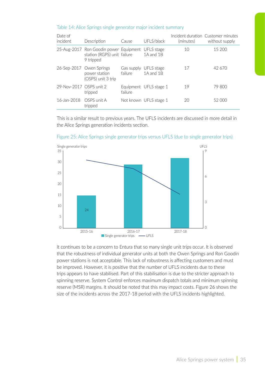| Date of<br><i>incident</i> | Description                                                                                   | Cause   | UFLS/black                         | (minutes)       | Incident duration Customer minutes<br>without supply |
|----------------------------|-----------------------------------------------------------------------------------------------|---------|------------------------------------|-----------------|------------------------------------------------------|
|                            | 25-Aug-2017 Ron Goodin power Equipment UFLS stage<br>station (RGPS) unit failure<br>9 tripped |         | 1A and 1B                          | 10 <sup>°</sup> | 15 200                                               |
|                            | 26-Sep-2017 Owen Springs<br>power station<br>(OSPS) unit 3 trip                               | failure | Gas supply UFLS stage<br>1A and 1B | 17              | 42.670                                               |
| 29-Nov-2017 OSPS unit 2    | tripped                                                                                       | failure | Equipment UFLS stage 1             | 19              | 79 800                                               |
| 16-Jan-2018 OSPS unit A    | tripped                                                                                       |         | Not known UFLS stage 1             | 20              | 52.000                                               |

#### <span id="page-42-0"></span>Table 14: Alice Springs single generator major incident summary

This is a similar result to previous years. The UFLS incidents are discussed in more detail in the Alice Springs generation incidents section.



#### Figure 25: Alice Springs single generator trips versus UFLS (due to single generator trips)

It continues to be a concern to Entura that so many single unit trips occur. It is observed that the robustness of individual generator units at both the Owen Springs and Ron Goodin power stations is not acceptable. This lack of robustness is affecting customers and must be improved. However, it is positive that the number of UFLS incidents due to these trips appears to have stabilised. Part of this stabilisation is due to the stricter approach to spinning reserve. System Control enforces maximum dispatch totals and minimum spinning reserve (MSR) margins. It should be noted that this may impact costs. [Figure 26](#page-43-0) shows the size of the incidents across the 2017-18 period with the UFLS incidents highlighted.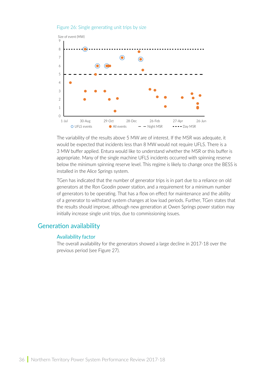

#### <span id="page-43-0"></span>Figure 26: Single generating unit trips by size

The variability of the results above 5 MW are of interest. If the MSR was adequate, it would be expected that incidents less than 8 MW would not require UFLS. There is a 3 MW buffer applied. Entura would like to understand whether the MSR or this buffer is appropriate. Many of the single machine UFLS incidents occurred with spinning reserve below the minimum spinning reserve level. This regime is likely to change once the BESS is installed in the Alice Springs system.

TGen has indicated that the number of generator trips is in part due to a reliance on old generators at the Ron Goodin power station, and a requirement for a minimum number of generators to be operating. That has a flow on effect for maintenance and the ability of a generator to withstand system changes at low load periods. Further, TGen states that the results should improve, although new generation at Owen Springs power station may initially increase single unit trips, due to commissioning issues.

# Generation availability

#### Availability factor

The overall availability for the generators showed a large decline in 2017-18 over the previous period (see [Figure 27\)](#page-44-0).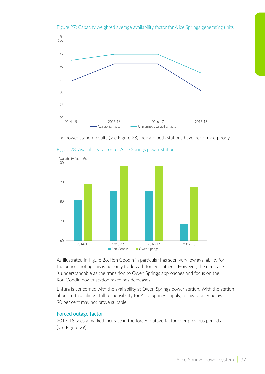

<span id="page-44-0"></span>Figure 27: Capacity weighted average availability factor for Alice Springs generating units



<span id="page-44-1"></span>

Figure 28: Availability factor for Alice Springs power stations

As illustrated in Figure 28, Ron Goodin in particular has seen very low availability for the period, noting this is not only to do with forced outages. However, the decrease is understandable as the transition to Owen Springs approaches and focus on the Ron Goodin power station machines decreases.

 90 per cent may not prove suitable. Entura is concerned with the availability at Owen Springs power station. With the station about to take almost full responsibility for Alice Springs supply, an availability below

#### Forced outage factor

2017-18 sees a marked increase in the forced outage factor over previous periods (see [Figure 29](#page-45-0)).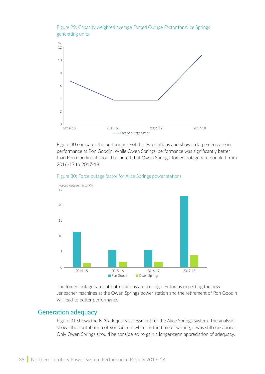

Forced outage factor

<span id="page-45-0"></span>Figure 29: Capacity weighted average Forced Outage Factor for Alice Springs generating units

Figure 30 compares the performance of the two stations and shows a large decrease in performance at Ron Goodin. While Owen Springs' performance was significantly better than Ron Goodin's it should be noted that Owen Springs' forced outage rate doubled from 2016-17 to 2017-18.





The forced outage rates at both stations are too high. Entura is expecting the new Jenbacher machines at the Owen Springs power station and the retirement of Ron Goodin will lead to better performance.

# Generation adequacy

[Figure 31](#page-46-0) shows the N-X adequacy assessment for the Alice Springs system. The analysis shows the contribution of Ron Goodin when, at the time of writing, it was still operational. Only Owen Springs should be considered to gain a longer-term appreciation of adequacy.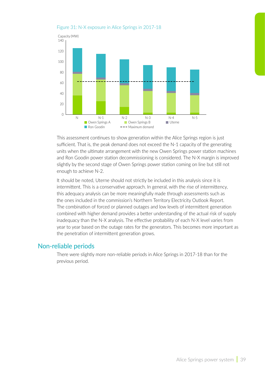

#### <span id="page-46-0"></span>Figure 31: N-X exposure in Alice Springs in 2017-18

This assessment continues to show generation within the Alice Springs region is just sufficient. That is, the peak demand does not exceed the N-1 capacity of the generating units when the ultimate arrangement with the new Owen Springs power station machines and Ron Goodin power station decommissioning is considered. The N-X margin is improved slightly by the second stage of Owen Springs power station coming on line but still not enough to achieve N-2.

It should be noted, Uterne should not strictly be included in this analysis since it is intermittent. This is a conservative approach. In general, with the rise of intermittency, this adequacy analysis can be more meaningfully made through assessments such as the ones included in the commission's Northern Territory Electricity Outlook Report. The combination of forced or planned outages and low levels of intermittent generation combined with higher demand provides a better understanding of the actual risk of supply inadequacy than the N-X analysis. The effective probability of each N-X level varies from year to year based on the outage rates for the generators. This becomes more important as the penetration of intermittent generation grows.

# Non-reliable periods

There were slightly more non-reliable periods in Alice Springs in 2017-18 than for the previous period.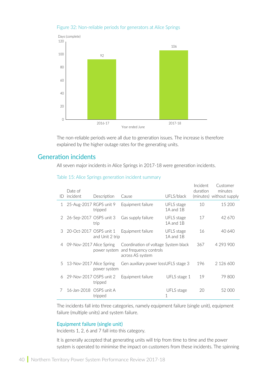

#### Figure 32: Non-reliable periods for generators at Alice Springs

The non-reliable periods were all due to generation issues. The increase is therefore explained by the higher outage rates for the generating units.

# Generation incidents

All seven major incidents in Alice Springs in 2017-18 were generation incidents.

#### Table 15: Alice Springs generation incident summary

| ID            | Date of<br>incident      | Description     | Cause                                                                              | UFLS/black              | Incident<br>duration | Customer<br>minutes<br>(minutes) without supply |
|---------------|--------------------------|-----------------|------------------------------------------------------------------------------------|-------------------------|----------------------|-------------------------------------------------|
|               |                          |                 |                                                                                    |                         |                      |                                                 |
| 1             | 25-Aug-2017 RGPS unit 9  | tripped         | Equipment failure                                                                  | UFLS stage<br>1A and 1B | 10                   | 15 200                                          |
| $\mathcal{P}$ | 26-Sep-2017 OSPS unit 3  |                 | Gas supply failure                                                                 | UFLS stage              | 17                   | 42 670                                          |
|               |                          | trip            |                                                                                    | 1A and 1B               |                      |                                                 |
| 3             | 20-Oct-2017 OSPS unit 1  | and Unit 2 trip | Equipment failure                                                                  | UFLS stage<br>1A and 1B | 16                   | 40 640                                          |
| 4             | 09-Nov-2017 Alice Spring | power system    | Coordination of voltage System black<br>and frequency controls<br>across AS system |                         | 367                  | 4 293 900                                       |
| 5.            | 13-Nov-2017 Alice Spring | power system    | Gen auxiliary power lossUFLS stage 3                                               |                         | 196                  | 2 126 600                                       |
| 6             | 29-Nov-2017 OSPS unit 2  | tripped         | Equipment failure                                                                  | UFLS stage 1            | 19                   | 79 800                                          |
|               | 16-Jan-2018 OSPS unit A  | tripped         |                                                                                    | UFLS stage<br>1         | 20                   | 52 000                                          |

The incidents fall into three categories, namely equipment failure (single unit), equipment failure (multiple units) and system failure.

#### Equipment failure (single unit)

Incidents 1, 2, 6 and 7 fall into this category.

It is generally accepted that generating units will trip from time to time and the power system is operated to minimise the impact on customers from these incidents. The spinning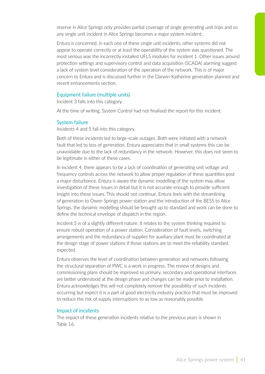reserve in Alice Springs only provides partial coverage of single generating unit trips and so any single unit incident in Alice Springs becomes a major system incident.

Entura is concerned, in each one of these single unit incidents, other systems did not appear to operate correctly or at least the operability of the system was questioned. The most serious was the incorrectly installed UFLS modules for incident 1. Other issues around protection settings and supervisory control and data acquisition (SCADA) alarming suggest a lack of system level consideration of the operation of the network. This is of major concern to Entura and is discussed further in the Darwin-Katherine generation planned and recent enhancements section.

#### Equipment failure (multiple units)

Incident 3 falls into this category.

At the time of writing, System Control had not finalised the report for this incident.

#### System failure

Incidents 4 and 5 fall into this category.

Both of these incidents led to large-scale outages. Both were initiated with a network fault that led to loss of generation. Entura appreciates that in small systems this can be unavoidable due to the lack of redundancy in the network. However, this does not seem to be legitimate in either of these cases.

In incident 4, there appears to be a lack of coordination of generating unit voltage and frequency controls across the network to allow proper regulation of these quantities post a major disturbance. Entura is aware the dynamic modelling of the system may allow investigation of these issues in detail but it is not accurate enough to provide sufficient insight into these issues. This should not continue. Entura feels with the streamlining of generation to Owen Springs power station and the introduction of the BESS to Alice Springs, the dynamic modelling should be brought up to standard and work can be done to define the technical envelope of dispatch in the region.

Incident 5 is of a slightly different nature. It relates to the system thinking required to ensure robust operation of a power station. Consideration of fault levels, switching arrangements and the redundancy of supplies for auxiliary plant must be coordinated at the design stage of power stations if those stations are to meet the reliability standard expected.

Entura observes the level of coordination between generation and networks following the structural separation of PWC is a work in progress. The review of designs and commissioning plans should be improved so primary, secondary and operational interfaces are better understood at the design phase and changes can be made prior to installation. Entura acknowledges this will not completely remove the possibility of such incidents occurring but expect it is a part of good electricity industry practice that must be improved to reduce the risk of supply interruptions to as low as reasonably possible.

#### Impact of incidents

The impact of these generation incidents relative to the previous years is shown in [Table](#page-49-0) 16.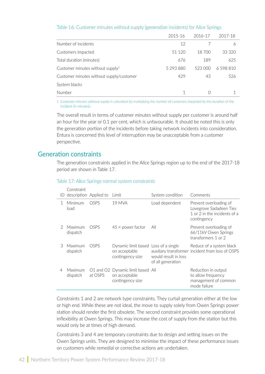| 2015-16   | 2016-17 | 2017-18  |
|-----------|---------|----------|
| 12        |         | 6        |
| 51 1 20   | 18 700  | 33 3 2 0 |
| 676       | 189     | 625      |
| 5 293 880 | 523.000 | 6598810  |
| 429       | 43      | 526      |
|           |         |          |
|           | С       |          |
|           |         |          |

#### <span id="page-49-0"></span>Table 16: Customer minutes without supply (generation incidents) for Alice Springs

1 Customer minutes without supply is calculated by multiplying the number of customers impacted by the duration of the incident (in minutes).

The overall result in terms of customer minutes without supply per customer is around half an hour for the year or 0.1 per cent, which is unfavourable. It should be noted this is only the generation portion of the incidents before taking network incidents into consideration. Entura is concerned this level of interruption may be unacceptable from a customer perspective.

# Generation constraints

The generation constraints applied in the Alice Springs region up to the end of the 2017-18 period are shown in [Table 17](#page-49-1).

#### Table 17: Alice Springs normal system constraints

<span id="page-49-1"></span>

| $\parallel$ ) | Constraint<br>description Applied to |             | Limit                                                                     | System condition                          | Comments                                                                                         |
|---------------|--------------------------------------|-------------|---------------------------------------------------------------------------|-------------------------------------------|--------------------------------------------------------------------------------------------------|
|               | Minimum<br>load                      | OSPS        | 19 MVA                                                                    | Load dependent                            | Prevent overloading of<br>Lovegrove Sadadeen Ties<br>1 or 2 in the incidents of a<br>contingency |
| 2             | Maximum<br>dispatch                  | <b>OSPS</b> | $45 \times$ power factor                                                  | All                                       | Prevent overloading of<br>66/11kV Owen Springs<br>transformers 1 or 2                            |
| 3             | Maximum<br>dispatch                  | OSPS        | Dynamic limit based Loss of a single<br>on acceptable<br>contingency size | would result in loss<br>of all generation | Reduce of a system black<br>auxiliary transformer incident from loss of OSPS                     |
|               | Maximum<br>dispatch                  | at OSPS     | 01 and 02 Dynamic limit based All<br>on acceptable<br>contingency size    |                                           | Reduction in output<br>to allow frequency<br>management of common<br>mode failure                |

Constraints 1 and 2 are network type constraints. They curtail generation either at the low or high end. While these are not ideal, the move to supply solely from Owen Springs power station should render the first obsolete. The second constraint provides some operational inflexibility at Owen Springs. This may increase the cost of supply from the station but this would only be at times of high demand.

Constraints 3 and 4 are temporary constraints due to design and setting issues on the Owen Springs units. They are designed to minimise the impact of these performance issues on customers while remedial or corrective actions are undertaken.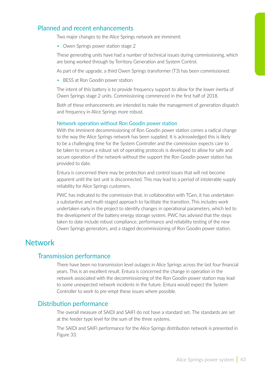# <span id="page-50-0"></span>Planned and recent enhancements

Two major changes to the Alice Springs network are imminent:

• Owen Springs power station stage 2

These generating units have had a number of technical issues during commissioning, which are being worked through by Territory Generation and System Control.

As part of the upgrade, a third Owen Springs transformer (T3) has been commissioned:

• BESS at Ron Goodin power station

The intent of this battery is to provide frequency support to allow for the lower inertia of Owen Springs stage 2 units. Commissioning commenced in the first half of 2018.

Both of these enhancements are intended to make the management of generation dispatch and frequency in Alice Springs more robust.

#### Network operation without Ron Goodin power station

With the imminent decommissioning of Ron Goodin power station comes a radical change to the way the Alice Springs network has been supplied. It is acknowledged this is likely to be a challenging time for the System Controller and the commission expects care to be taken to ensure a robust set of operating protocols is developed to allow for safe and secure operation of the network without the support the Ron Goodin power station has provided to date.

Entura is concerned there may be protection and control issues that will not become apparent until the last unit is disconnected. This may lead to a period of intolerable supply reliability for Alice Springs customers.

PWC has indicated to the commission that, in collaboration with TGen, it has undertaken a substantive and multi-staged approach to facilitate the transition. This includes work undertaken early in the project to identify changes in operational parameters, which led to the development of the battery energy storage system. PWC has advised that the steps taken to date include robust compliance, performance and reliability testing of the new Owen Springs generators, and a staged decommissioning of Ron Goodin power station.

# **Network**

### Transmission performance

There have been no transmission level outages in Alice Springs across the last four financial years. This is an excellent result. Entura is concerned the change in operation in the network associated with the decommissioning of the Ron Goodin power station may lead to some unexpected network incidents in the future. Entura would expect the System Controller to work to pre-empt these issues where possible.

## Distribution performance

The overall measure of SAIDI and SAIFI do not have a standard set. The standards are set at the feeder type level for the sum of the three systems.

The SAIDI and SAIFI performance for the Alice Springs distribution network is presented in [Figure 33.](#page-51-0)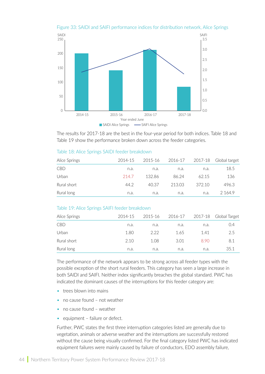

<span id="page-51-0"></span>Figure 33: SAIDI and SAIFI performance indices for distribution network, Alice Springs

The results for 2017-18 are the best in the four-year period for both indices. [Table 18](#page-51-1) and Table 19 show the performance broken down across the feeder categories.

<span id="page-51-1"></span>

|  |  | Table 18: Alice Springs SAIDI feeder breakdown |
|--|--|------------------------------------------------|

| Alice Springs | 2014-15 | 2015-16 | 2016-17 | 2017-18 | Global target |
|---------------|---------|---------|---------|---------|---------------|
| <b>CBD</b>    | n.a.    | n.a.    | n.a.    | n.a.    | 18.5          |
| Urban         | 214.7   | 132.86  | 86.24   | 62.15   | 136           |
| Rural short   | 44.2    | 40.37   | 213.03  | 372.10  | 496.3         |
| Rural long    | n.a.    | n.a.    | n.a.    | n.a.    | 2 1 6 4 .9    |

#### Table 19: Alice Springs SAIFI feeder breakdown

| Alice Springs | 2014-15 | 2015-16 | 2016-17 2017-18 |      | Global Target |
|---------------|---------|---------|-----------------|------|---------------|
| <b>CBD</b>    | n.a.    | n.a.    | n.a.            | n.a. | 0.4           |
| Urban         | 1.80    | 2.22    | 1.65            | 1.41 | 2.5           |
| Rural short   | 2.10    | 1.08    | 3.01            | 8.90 | 8.1           |
| Rural long    | n.a.    | n.a.    | n.a.            | n.a. | 35.1          |

The performance of the network appears to be strong across all feeder types with the possible exception of the short rural feeders. This category has seen a large increase in both SAIDI and SAIFI. Neither index significantly breaches the global standard. PWC has indicated the dominant causes of the interruptions for this feeder category are:

- trees blown into mains
- no cause found not weather
- no cause found weather
- equipment failure or defect.

Further, PWC states the first three interruption categories listed are generally due to vegetation, animals or adverse weather and the interruptions are successfully restored without the cause being visually confirmed. For the final category listed PWC has indicated equipment failures were mainly caused by failure of conductors, EDO assembly failure,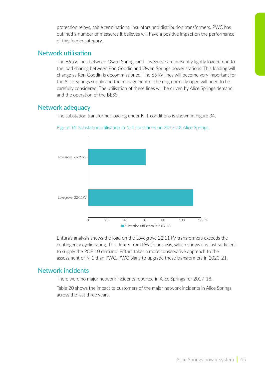protection relays, cable terminations, insulators and distribution transformers. PWC has outlined a number of measures it believes will have a positive impact on the performance of this feeder category.

# Network utilisation

The 66 kV lines between Owen Springs and Lovegrove are presently lightly loaded due to the load sharing between Ron Goodin and Owen Springs power stations. This loading will change as Ron Goodin is decommissioned. The 66 kV lines will become very important for the Alice Springs supply and the management of the ring normally open will need to be carefully considered. The utilisation of these lines will be driven by Alice Springs demand and the operation of the BESS.

# Network adequacy

The substation transformer loading under N-1 conditions is shown in [Figure 34.](#page-52-0)



<span id="page-52-0"></span>Figure 34: Substation utilisation in N-1 conditions on 2017-18 Alice Springs

Entura's analysis shows the load on the Lovegrove 22:11 kV transformers exceeds the contingency cyclic rating. This differs from PWC's analysis, which shows it is just sufficient to supply the POE 10 demand. Entura takes a more conservative approach to the assessment of N-1 than PWC. PWC plans to upgrade these transformers in 2020-21.

# Network incidents

There were no major network incidents reported in Alice Springs for 2017-18.

[Table 20](#page-53-0) shows the impact to customers of the major network incidents in Alice Springs across the last three years.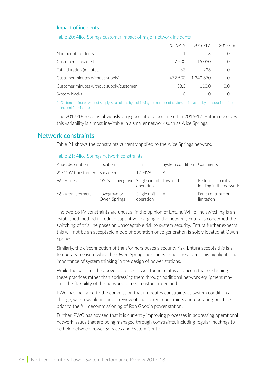#### Impact of incidents

#### <span id="page-53-0"></span>Table 20: Alice Springs customer impact of major network incidents

|                                              | 2015-16 | 2016-17   | 2017-18          |
|----------------------------------------------|---------|-----------|------------------|
| Number of incidents                          |         | З         |                  |
| Customers impacted                           | 7.500   | 15 030    | $\left( \right)$ |
| Total duration (minutes)                     | 63      | 226       | $\left( \right)$ |
| Customer minutes without supply <sup>1</sup> | 472 500 | 1 340 670 | $\left( \right)$ |
| Customer minutes without supply/customer     | 38.3    | 110.0     | 0.0              |
| System blacks                                |         |           |                  |

1 Customer minutes without supply is calculated by multiplying the number of customers impacted by the duration of the incident (in minutes).

The 2017-18 result is obviously very good after a poor result in 2016-17. Entura observes this variability is almost inevitable in a smaller network such as Alice Springs.

### Network constraints

[Table 21](#page-53-1) shows the constraints currently applied to the Alice Springs network.

#### <span id="page-53-1"></span>Table 21: Alice Springs network constraints

| Asset description             | Location                                 | Limit                    | System condition Comments |                                              |
|-------------------------------|------------------------------------------|--------------------------|---------------------------|----------------------------------------------|
| 22/11kV transformers Sadadeen |                                          | 17 MVA                   | All                       |                                              |
| 66 kV lines                   | OSPS - Lovegrove Single circuit Low load | operation                |                           | Reduces capacitive<br>loading in the network |
| 66 kV transformers            | Lovegrove or<br>Owen Springs             | Single unit<br>operation | All                       | Fault contribution<br>limitation             |

The two 66 kV constraints are unusual in the opinion of Entura. While line switching is an established method to reduce capacitive charging in the network, Entura is concerned the switching of this line poses an unacceptable risk to system security. Entura further expects this will not be an acceptable mode of operation once generation is solely located at Owen Springs.

Similarly, the disconnection of transformers poses a security risk. Entura accepts this is a temporary measure while the Owen Springs auxiliaries issue is resolved. This highlights the importance of system thinking in the design of power stations.

While the basis for the above protocols is well founded, it is a concern that enshrining these practices rather than addressing them through additional network equipment may limit the flexibility of the network to meet customer demand.

PWC has indicated to the commission that it updates constraints as system conditions change, which would include a review of the current constraints and operating practices prior to the full decommissioning of Ron Goodin power station.

Further, PWC has advised that it is currently improving processes in addressing operational network issues that are being managed through constraints, including regular meetings to be held between Power Services and System Control.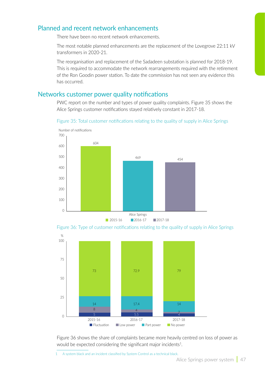# Planned and recent network enhancements

There have been no recent network enhancements.

The most notable planned enhancements are the replacement of the Lovegrove 22:11 kV transformers in 2020-21.

The reorganisation and replacement of the Sadadeen substation is planned for 2018-19. This is required to accommodate the network rearrangements required with the retirement of the Ron Goodin power station. To date the commission has not seen any evidence this has occurred.

# Networks customer power quality notifications

PWC report on the number and types of power quality complaints. [Figure 35](#page-54-0) shows the Alice Springs customer notifications stayed relatively constant in 2017-18.



<span id="page-54-0"></span>

<span id="page-54-1"></span>Figure 36: Type of customer notifications relating to the quality of supply in Alice Springs



[Figure 36](#page-54-1) shows the share of complaints became more heavily centred on loss of power as would be expected considering the significant major incidents<sup>1</sup>.

 1 A system black and an incident classified by System Control as a technical black.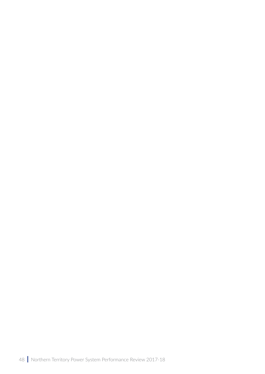| Northern Territory Power System Performance Review 2017-18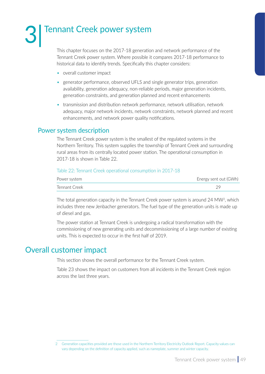<span id="page-56-0"></span>This chapter focuses on the 2017-18 generation and network performance of the Tennant Creek power system. Where possible it compares 2017-18 performance to historical data to identify trends. Specifically this chapter considers:

- overall customer impact
- generator performance, observed UFLS and single generator trips, generation availability, generation adequacy, non-reliable periods, major generation incidents, generation constraints, and generation planned and recent enhancements
- transmission and distribution network performance, network utilisation, network adequacy, major network incidents, network constraints, network planned and recent enhancements, and network power quality notifications.

# Power system description

The Tennant Creek power system is the smallest of the regulated systems in the Northern Territory. This system supplies the township of Tennant Creek and surrounding rural areas from its centrally located power station. The operational consumption in 2017-18 is shown in [Table 22.](#page-56-1)

#### <span id="page-56-1"></span>Table 22: Tennant Creek operational consumption in 2017-18

| Power system  | Energy sent out (GWh) |
|---------------|-----------------------|
| Tennant Creek |                       |

The total generation capacity in the Tennant Creek power system is around 24 MW2, which includes three new Jenbacher generators. The fuel type of the generation units is made up of diesel and gas.

The power station at Tennant Creek is undergoing a radical transformation with the commissioning of new generating units and decommissioning of a large number of existing units. This is expected to occur in the first half of 2019.

# Overall customer impact

This section shows the overall performance for the Tennant Creek system.

[Table 23](#page-57-1) shows the impact on customers from all incidents in the Tennant Creek region across the last three years.

<sup>2</sup> Generation capacities provided are those used in the Northern Territory Electricity Outlook Report. Capacity values can vary depending on the definition of capacity applied, such as nameplate, summer and winter capacity.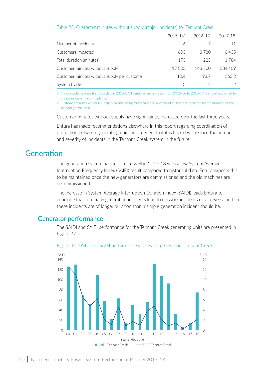<span id="page-57-1"></span><span id="page-57-0"></span>

| Table 23: Customer minutes without supply (major incidents) for Tennant Creek |  |  |  |  |  |  |  |  |
|-------------------------------------------------------------------------------|--|--|--|--|--|--|--|--|
|-------------------------------------------------------------------------------|--|--|--|--|--|--|--|--|

|                                              | $2015 - 16^{1}$ | 2016-17 | 2017-18 |
|----------------------------------------------|-----------------|---------|---------|
| Number of incidents                          | 6               |         | 11      |
| Customers impacted                           | 600             | 3780    | 6435    |
| Total duration (minutes)                     | 170             | 225     | 1 7 8 4 |
| Customer minutes without supply <sup>2</sup> | 17 000          | 143 500 | 584 409 |
| Customer minutes without supply per customer | 10.4            | 93.7    | 363.2   |
| System blacks                                | $\bigcirc$      |         |         |

1 Minor incidents were first recorded in 2016-17. Therefore, any increase from 2015-16 to 2016-17 is in part explained by the inclusion of minor incidents.

2 Customer minutes without supply is calculated by multiplying the number of customers impacted by the duration of the incident (in minutes).

Customer minutes without supply have significantly increased over the last three years.

Entura has made recommendations elsewhere in this report regarding coordination of protection between generating units and feeders that it is hoped will reduce the number and severity of incidents in the Tennant Creek system in the future.

# Generation

The generation system has performed well in 2017-18 with a low System Average Interruption Frequency Index (SAIFI) result compared to historical data. Entura expects this to be maintained once the new generators are commissioned and the old machines are decommissioned.

The increase in System Average Interruption Duration Index (SAIDI) leads Entura to conclude that too many generation incidents lead to network incidents or vice-versa and so these incidents are of longer duration than a simple generation incident should be.

## Generator performance

The SAIDI and SAIFI performance for the Tennant Creek generating units are presented in [Figure 37.](#page-57-2)

<span id="page-57-2"></span>

#### Figure 37: SAIDI and SAIFI performance indices for generation, Tennant Creek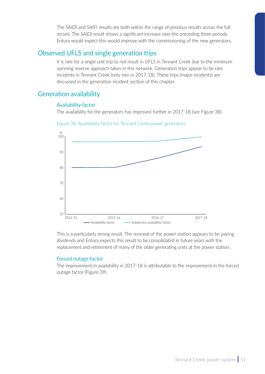The SAIDI and SAIFI results are both within the range of previous results across the full record. The SAIDI result shows a significant increase over the preceding three periods. Entura would expect this would improve with the commissioning of the new generators.

# Observed UFLS and single generation trips

It is rare for a single unit trip to not result in UFLS in Tennant Creek due to the minimum spinning reserve approach taken in this network. Generation trips appear to be rare incidents in Tennant Creek (only two in 2017-18). These trips (major incidents) are discussed in the generation incident section of this chapter.

# Generation availability

#### Availability factor

The availability for the generators has improved further in 2017-18 (see [Figure 38\)](#page-58-0).



#### <span id="page-58-0"></span>Figure 38: Availability factor for Tennant Creek power generators

This is a particularly strong result. The renewal of the power station appears to be paying dividends and Entura expects this result to be consolidated in future years with the replacement and retirement of many of the older generating units at the power station.

#### Forced outage factor

The improvement in availability in 2017-18 is attributable to the improvement in the forced outage factor [\(Figure 39](#page-59-0)).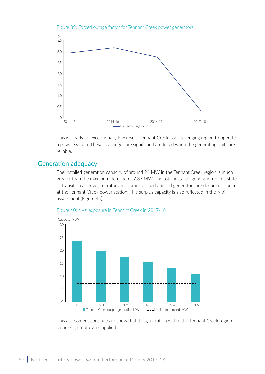<span id="page-59-0"></span>Figure 39: Forced outage factor for Tennant Creek power generators



This is clearly an exceptionally low result. Tennant Creek is a challenging region to operate a power system. These challenges are significantly reduced when the generating units are reliable.

# Generation adequacy

The installed generation capacity of around 24 MW in the Tennant Creek region is much greater than the maximum demand of 7.37 MW. The total installed generation is in a state of transition as new generators are commissioned and old generators are decommissioned at the Tennant Creek power station. This surplus capacity is also reflected in the N-X assessment [\(Figure 40\)](#page-59-1).



<span id="page-59-1"></span>

This assessment continues to show that the generation within the Tennant Creek region is sufficient, if not over-supplied.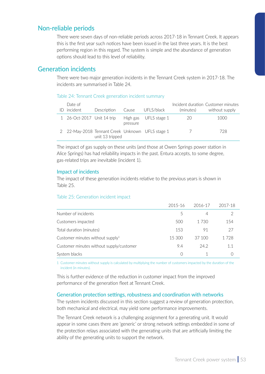# Non-reliable periods

There were seven days of non-reliable periods across 2017-18 in Tennant Creek. It appears this is the first year such notices have been issued in the last three years. It is the best performing region in this regard. The system is simple and the abundance of generation options should lead to this level of reliability.

# Generation incidents

There were two major generation incidents in the Tennant Creek system in 2017-18. The incidents are summarised in [Table 24.](#page-60-0)

#### <span id="page-60-0"></span>Table 24: Tennant Creek generation incident summary

| II) | Date of<br>incident        | Description                                                         | Cause    | UFLS/black            | (minutes) | Incident duration Customer minutes<br>without supply |
|-----|----------------------------|---------------------------------------------------------------------|----------|-----------------------|-----------|------------------------------------------------------|
|     | 1 26-Oct-2017 Unit 14 trip |                                                                     | pressure | High gas UFLS stage 1 | 20        | 1000                                                 |
|     |                            | 2 22-May-2018 Tennant Creek Unknown UFLS stage 1<br>unit 13 tripped |          |                       |           | 728                                                  |

The impact of gas supply on these units (and those at Owen Springs power station in Alice Springs) has had reliability impacts in the past. Entura accepts, to some degree, gas-related trips are inevitable (incident 1).

#### Impact of incidents

The impact of these generation incidents relative to the previous years is shown in [Table](#page-60-1) 25.

#### <span id="page-60-1"></span>Table 25: Generation incident impact

|                                              | 2015-16 | 2016-17 | 2017-18 |
|----------------------------------------------|---------|---------|---------|
| Number of incidents                          | 5       | 4       | 2       |
| Customers impacted                           | 500     | 1 7 3 0 | 154     |
| Total duration (minutes)                     | 153     | 91      | 27      |
| Customer minutes without supply <sup>1</sup> | 15 300  | 37 100  | 1728    |
| Customer minutes without supply/customer     | 9.4     | 24.2    | 1.1     |
| System blacks                                |         |         |         |

1 Customer minutes without supply is calculated by multiplying the number of customers impacted by the duration of the incident (in minutes).

This is further evidence of the reduction in customer impact from the improved performance of the generation fleet at Tennant Creek.

#### Generation protection settings, robustness and coordination with networks

The system incidents discussed in this section suggest a review of generation protection, both mechanical and electrical, may yield some performance improvements.

The Tennant Creek network is a challenging assignment for a generating unit. It would appear in some cases there are 'generic' or strong network settings embedded in some of the protection relays associated with the generating units that are artificially limiting the ability of the generating units to support the network.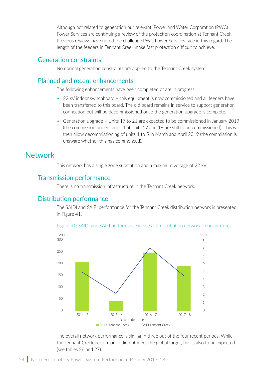<span id="page-61-0"></span>Although not related to generation but relevant, Power and Water Corporation (PWC) Power Services are continuing a review of the protection coordination at Tennant Creek. Previous reviews have noted the challenge PWC Power Services face in this regard. The length of the feeders in Tennant Creek make fast protection difficult to achieve.

# Generation constraints

No normal generation constraints are applied to the Tennant Creek system.

# Planned and recent enhancements

The following enhancements have been completed or are in progress:

- 22 kV indoor switchboard this equipment is now commissioned and all feeders have been transferred to this board. The old board remains in service to support generation connection but will be decommissioned once the generation upgrade is complete.
- Generation upgrade Units 17 to 21 are expected to be commissioned in January 2019 (the commission understands that units 17 and 18 are still to be commissioned). This will then allow decommissioning of units 1 to 5 in March and April 2019 (the commission is unaware whether this has commenced).

# Network

This network has a single zone substation and a maximum voltage of 22 kV.

# Transmission performance

There is no transmission infrastructure in the Tennant Creek network.

# Distribution performance

The SAIDI and SAIFI performance for the Tennant Creek distribution network is presented in [Figure 41.](#page-61-1)



<span id="page-61-1"></span>

The overall network performance is similar in three out of the four recent periods. While the Tennant Creek performance did not meet the global target, this is also to be expected (see [tables 26](#page-62-0) and 27).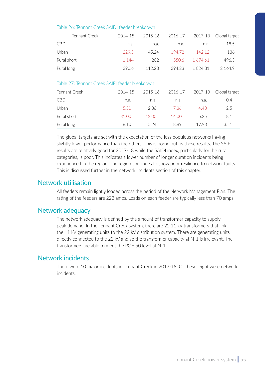| Tennant Creek | 2014-15 |        |        |          | 2015-16 2016-17 2017-18 Global target |
|---------------|---------|--------|--------|----------|---------------------------------------|
| CBD           | n.a.    | n.a.   | n.a.   | n.a.     | 18.5                                  |
| Urban         | 229.5   | 45.24  | 194.72 | 142.12   | 136                                   |
| Rural short   | 1 1 4 4 | 202    | 550.6  | 1 674.61 | 496.3                                 |
| Rural long    | 390.6   | 112.28 | 394.23 | 1824.81  | 2164.9                                |

#### <span id="page-62-0"></span>Table 26: Tennant Creek SAIDI feeder breakdown

#### Table 27: Tennant Creek SAIFI feeder breakdown

| Tennant Creek | 2014-15 | 2015-16 | 2016-17 2017-18 |       | Global target |
|---------------|---------|---------|-----------------|-------|---------------|
| <b>CBD</b>    | n.a.    | n.a.    | n.a.            | n.a.  | (0.4)         |
| Urban         | 5.50    | 2.36    | -7.36           | 4.43  | 2.5           |
| Rural short   | 31.00   | 12.00   | 14.00           | 5.25  | 8.1           |
| Rural long    | 8.10    | 5.24    | 889             | 17.93 | 35.1          |

The global targets are set with the expectation of the less populous networks having slightly lower performance than the others. This is borne out by these results. The SAIFI results are relatively good for 2017-18 while the SAIDI index, particularly for the rural categories, is poor. This indicates a lower number of longer duration incidents being experienced in the region. The region continues to show poor resilience to network faults. This is discussed further in the network incidents section of this chapter.

# Network utilisation

All feeders remain lightly loaded across the period of the Network Management Plan. The rating of the feeders are 223 amps. Loads on each feeder are typically less than 70 amps.

## Network adequacy

The network adequacy is defined by the amount of transformer capacity to supply peak demand. In the Tennant Creek system, there are 22:11 kV transformers that link the 11 kV generating units to the 22 kV distribution system. There are generating units directly connected to the 22 kV and so the transformer capacity at N-1 is irrelevant. The transformers are able to meet the POE 50 level at N-1.

# Network incidents

There were 10 major incidents in Tennant Creek in 2017-18. Of these, eight were network incidents.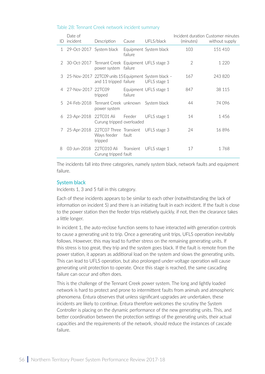|  |  | Table 28: Tennant Creek network incident summary |
|--|--|--------------------------------------------------|
|  |  |                                                  |

| ID | Date of<br>incident | Description                                                                    | Cause     | UFLS/black             | (minutes) | Incident duration Customer minutes<br>without supply |
|----|---------------------|--------------------------------------------------------------------------------|-----------|------------------------|-----------|------------------------------------------------------|
| 1  |                     | 29-Oct-2017 System black Equipment System black                                | failure   |                        | 103       | 151410                                               |
| 2  |                     | 30-Oct-2017 Tennant Creek Equipment UFLS stage 3<br>power system failure       |           |                        | 2         | 1 2 2 0                                              |
| 3  |                     | 25-Nov-2017 22TC09 units 15 Equipment System black -<br>and 11 tripped failure |           | UFLS stage 1           | 167       | 243 820                                              |
| 4  | 27-Nov-2017 22TC09  | tripped                                                                        | failure   | Equipment UFLS stage 1 | 847       | 38 115                                               |
| 5  |                     | 24-Feb-2018 Tennant Creek unknown<br>power system                              |           | System black           | 44        | 74096                                                |
| 6  |                     | 23-Apr-2018 22TC01 Ali Feeder<br>Curung tripped overloaded                     |           | UFLS stage 1           | 14        | 1456                                                 |
| 7  |                     | 25-Apr-2018 22TC07 Three Transient UFLS stage 3<br>Ways feeder<br>tripped      | fault     |                        | 24        | 16896                                                |
| 8  | 03-Jun-2018         | 22TC010 Ali<br>Curung tripped fault                                            | Transient | UFLS stage 1           | 17        | 1768                                                 |

The incidents fall into three categories, namely system black, network faults and equipment failure.

#### System black

Incidents 1, 3 and 5 fall in this category.

Each of these incidents appears to be similar to each other (notwithstanding the lack of information on incident 5) and there is an initiating fault in each incident. If the fault is close to the power station then the feeder trips relatively quickly, if not, then the clearance takes a little longer.

In incident 1, the auto-reclose function seems to have interacted with generation controls to cause a generating unit to trip. Once a generating unit trips, UFLS operation inevitably follows. However, this may lead to further stress on the remaining generating units. If this stress is too great, they trip and the system goes black. If the fault is remote from the power station, it appears as additional load on the system and slows the generating units. This can lead to UFLS operation, but also prolonged under-voltage operation will cause generating unit protection to operate. Once this stage is reached, the same cascading failure can occur and often does.

This is the challenge of the Tennant Creek power system. The long and lightly loaded network is hard to protect and prone to intermittent faults from animals and atmospheric phenomena. Entura observes that unless significant upgrades are undertaken, these incidents are likely to continue. Entura therefore welcomes the scrutiny the System Controller is placing on the dynamic performance of the new generating units. This, and better coordination between the protection settings of the generating units, their actual capacities and the requirements of the network, should reduce the instances of cascade failure.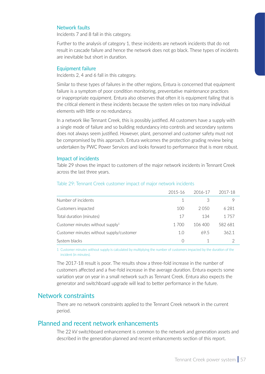#### Network faults

Incidents 7 and 8 fall in this category.

Further to the analysis of category 1, these incidents are network incidents that do not result in cascade failure and hence the network does not go black. These types of incidents are inevitable but short in duration.

#### Equipment failure

Incidents 2, 4 and 6 fall in this category.

Similar to these types of failures in the other regions, Entura is concerned that equipment failure is a symptom of poor condition monitoring, preventative maintenance practices or inappropriate equipment. Entura also observes that often it is equipment failing that is the critical element in these incidents because the system relies on too many individual elements with little or no redundancy.

In a network like Tennant Creek, this is possibly justified. All customers have a supply with a single mode of failure and so building redundancy into controls and secondary systems does not always seem justified. However, plant, personnel and customer safety must not be compromised by this approach. Entura welcomes the protection grading review being undertaken by PWC Power Services and looks forward to performance that is more robust.

#### Impact of incidents

[Table 29](#page-64-0) shows the impact to customers of the major network incidents in Tennant Creek across the last three years.

|                                              | 2015-16 | 2016-17 | 2017-18 |
|----------------------------------------------|---------|---------|---------|
| Number of incidents                          |         | 3       |         |
| Customers impacted                           | 100     | 2.050   | 6 2 8 1 |
| Total duration (minutes)                     | 17      | 134     | 1 757   |
| Customer minutes without supply <sup>1</sup> | 1.700   | 106.400 | 582 681 |
| Customer minutes without supply/customer     | 1.0     | 69.5    | 362.1   |
| System blacks                                |         |         |         |

#### <span id="page-64-0"></span>Table 29: Tennant Creek customer impact of major network incidents

1 Customer minutes without supply is calculated by multiplying the number of customers impacted by the duration of the incident (in minutes).

The 2017-18 result is poor. The results show a three-fold increase in the number of customers affected and a five-fold increase in the average duration. Entura expects some variation year on year in a small network such as Tennant Creek. Entura also expects the generator and switchboard upgrade will lead to better performance in the future.

### Network constraints

There are no network constraints applied to the Tennant Creek network in the current period.

# Planned and recent network enhancements

The 22 kV switchboard enhancement is common to the network and generation assets and described in the generation planned and recent enhancements section of this report.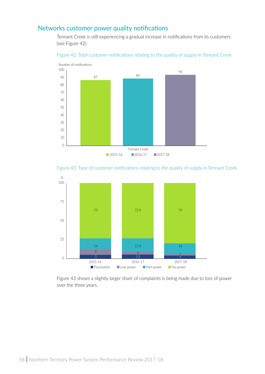# Networks customer power quality notifications

Tennant Creek is still experiencing a gradual increase in notifications from its customers (see [Figure 42](#page-65-0)).



<span id="page-65-0"></span>Figure 42: Total customer notifications relating to the quality of supply in Tennant Creek



<span id="page-65-1"></span>

[Figure 43](#page-65-1) shows a slightly larger share of complaints is being made due to loss of power over the three years.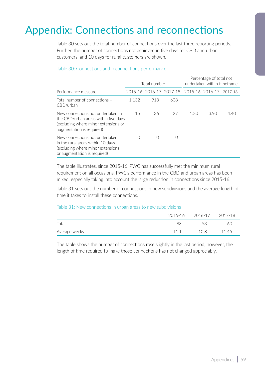# <span id="page-66-0"></span>Appendix: Connections and reconnections

[Table 30](#page-66-1) sets out the total number of connections over the last three reporting periods. Further, the number of connections not achieved in five days for CBD and urban customers, and 10 days for rural customers are shown.

#### <span id="page-66-1"></span>Table 30: Connections and reconnections performance

|                                                                                                                                                | Total number |           |                                                 | Percentage of total not<br>undertaken within timeframe |      |      |
|------------------------------------------------------------------------------------------------------------------------------------------------|--------------|-----------|-------------------------------------------------|--------------------------------------------------------|------|------|
| Performance measure                                                                                                                            |              |           | 2015-16 2016-17 2017-18 2015-16 2016-17 2017-18 |                                                        |      |      |
| Total number of connections -<br>CBD/urban                                                                                                     | 1 1 3 2      | 918       | 608                                             |                                                        |      |      |
| New connections not undertaken in<br>the CBD/urban areas within five days<br>(excluding where minor extensions or<br>augmentation is required) | 15           | 36        | 27                                              | 1.30                                                   | 3.90 | 4.40 |
| New connections not undertaken<br>in the rural areas within 10 days<br>(excluding where minor extensions<br>or augmentation is required)       | ∩            | $\bigcap$ | $\bigcirc$                                      |                                                        |      |      |

Percentage of total not

The table illustrates, since 2015-16, PWC has successfully met the minimum rural requirement on all occasions. PWC's performance in the CBD and urban areas has been mixed, especially taking into account the large reduction in connections since 2015-16.

[Table 31](#page-66-2) sets out the number of connections in new subdivisions and the average length of time it takes to install these connections.

#### <span id="page-66-2"></span>Table 31: New connections in urban areas to new subdivisions

|               |      | 2015-16 2016-17 2017-18 |       |
|---------------|------|-------------------------|-------|
| Total         | 83   | 53                      | 6()   |
| Average weeks | 11.1 | 10 8                    | 11.45 |

The table shows the number of connections rose slightly in the last period, however, the length of time required to make those connections has not changed appreciably.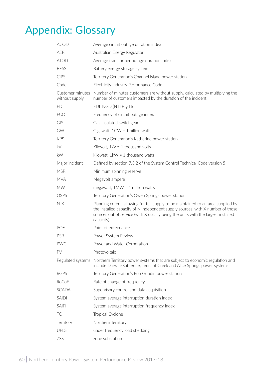# <span id="page-67-0"></span>Appendix: Glossary

| <b>ACOD</b>                        | Average circuit outage duration index                                                                                                                                                                                                                                  |
|------------------------------------|------------------------------------------------------------------------------------------------------------------------------------------------------------------------------------------------------------------------------------------------------------------------|
| <b>AER</b>                         | Australian Energy Regulator                                                                                                                                                                                                                                            |
| <b>ATOD</b>                        | Average transformer outage duration index                                                                                                                                                                                                                              |
| <b>BESS</b>                        | Battery energy storage system                                                                                                                                                                                                                                          |
| <b>CIPS</b>                        | Territory Generation's Channel Island power station                                                                                                                                                                                                                    |
| Code                               | Electricity Industry Performance Code                                                                                                                                                                                                                                  |
| Customer minutes<br>without supply | Number of minutes customers are without supply, calculated by multiplying the<br>number of customers impacted by the duration of the incident                                                                                                                          |
| <b>EDL</b>                         | EDL NGD (NT) Pty Ltd                                                                                                                                                                                                                                                   |
| <b>FCO</b>                         | Frequency of circuit outage index                                                                                                                                                                                                                                      |
| GIS                                | Gas insulated switchgear                                                                                                                                                                                                                                               |
| GW                                 | Gigawatt, 1GW = 1 billion watts                                                                                                                                                                                                                                        |
| <b>KPS</b>                         | Territory Generation's Katherine power station                                                                                                                                                                                                                         |
| kV                                 | Kilovolt, 1kV = 1 thousand volts                                                                                                                                                                                                                                       |
| kW                                 | kilowatt, $1kW = 1$ thousand watts                                                                                                                                                                                                                                     |
| Major incident                     | Defined by section 7.3.2 of the System Control Technical Code version 5                                                                                                                                                                                                |
| <b>MSR</b>                         | Minimum spinning reserve                                                                                                                                                                                                                                               |
| <b>MVA</b>                         | Megavolt ampere                                                                                                                                                                                                                                                        |
| <b>MW</b>                          | megawatt, $1MW = 1$ million watts                                                                                                                                                                                                                                      |
| <b>OSPS</b>                        | Territory Generation's Owen Springs power station                                                                                                                                                                                                                      |
| $N-X$                              | Planning criteria allowing for full supply to be maintained to an area supplied by<br>the installed capacity of N independent supply sources, with X number of those<br>sources out of service (with X usually being the units with the largest installed<br>capacity) |
| POE                                | Point of exceedance                                                                                                                                                                                                                                                    |
| PSR                                | Power System Review                                                                                                                                                                                                                                                    |
| <b>PWC</b>                         | Power and Water Corporation                                                                                                                                                                                                                                            |
| PV                                 | Photovoltaic                                                                                                                                                                                                                                                           |
|                                    | Regulated systems Northern Territory power systems that are subject to economic regulation and<br>include Darwin-Katherine, Tennant Creek and Alice Springs power systems                                                                                              |
| <b>RGPS</b>                        | Territory Generation's Ron Goodin power station                                                                                                                                                                                                                        |
| RoCoF                              | Rate of change of frequency                                                                                                                                                                                                                                            |
| <b>SCADA</b>                       | Supervisory control and data acquisition                                                                                                                                                                                                                               |
| <b>SAIDI</b>                       | System average interruption duration index                                                                                                                                                                                                                             |
| <b>SAIFI</b>                       | System average interruption frequency index                                                                                                                                                                                                                            |
| ТC                                 | <b>Tropical Cyclone</b>                                                                                                                                                                                                                                                |
| Territory                          | Northern Territory                                                                                                                                                                                                                                                     |
| UFLS                               | under frequency load shedding                                                                                                                                                                                                                                          |
| ZSS                                | zone substation                                                                                                                                                                                                                                                        |